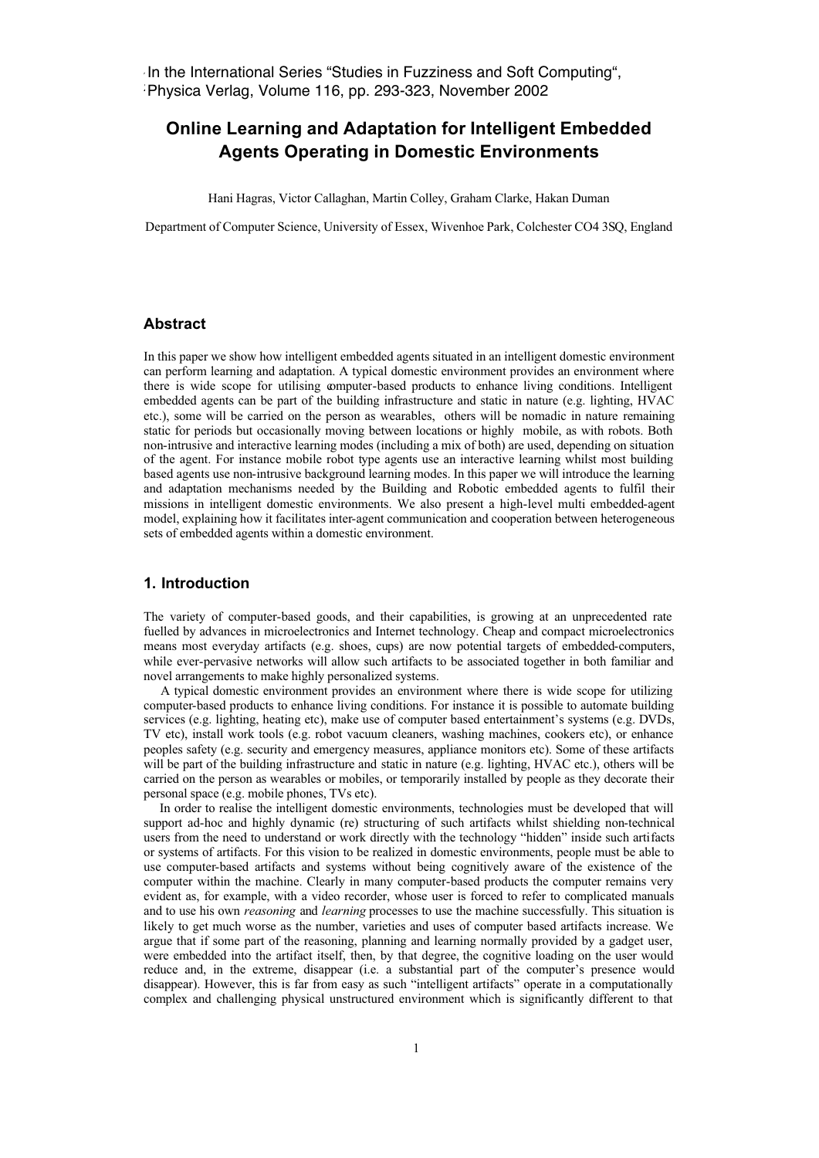In the International Series "Studies in Fuzziness and Soft Computing", Physica Verlag, Volume 116, pp. 293-323, November 2002

# **Online Learning and Adaptation for Intelligent Embedded Agents Operating in Domestic Environments**

Hani Hagras, Victor Callaghan, Martin Colley, Graham Clarke, Hakan Duman

Department of Computer Science, University of Essex, Wivenhoe Park, Colchester CO4 3SQ, England

### **Abstract**

In this paper we show how intelligent embedded agents situated in an intelligent domestic environment can perform learning and adaptation. A typical domestic environment provides an environment where there is wide scope for utilising computer-based products to enhance living conditions. Intelligent embedded agents can be part of the building infrastructure and static in nature (e.g. lighting, HVAC etc.), some will be carried on the person as wearables, others will be nomadic in nature remaining static for periods but occasionally moving between locations or highly mobile, as with robots. Both non-intrusive and interactive learning modes (including a mix of both) are used, depending on situation of the agent. For instance mobile robot type agents use an interactive learning whilst most building based agents use non-intrusive background learning modes. In this paper we will introduce the learning and adaptation mechanisms needed by the Building and Robotic embedded agents to fulfil their missions in intelligent domestic environments. We also present a high-level multi embedded-agent model, explaining how it facilitates inter-agent communication and cooperation between heterogeneous sets of embedded agents within a domestic environment.

# **1. Introduction**

The variety of computer-based goods, and their capabilities, is growing at an unprecedented rate fuelled by advances in microelectronics and Internet technology. Cheap and compact microelectronics means most everyday artifacts (e.g. shoes, cups) are now potential targets of embedded-computers, while ever-pervasive networks will allow such artifacts to be associated together in both familiar and novel arrangements to make highly personalized systems.

 A typical domestic environment provides an environment where there is wide scope for utilizing computer-based products to enhance living conditions. For instance it is possible to automate building services (e.g. lighting, heating etc), make use of computer based entertainment's systems (e.g. DVDs, TV etc), install work tools (e.g. robot vacuum cleaners, washing machines, cookers etc), or enhance peoples safety (e.g. security and emergency measures, appliance monitors etc). Some of these artifacts will be part of the building infrastructure and static in nature (e.g. lighting, HVAC etc.), others will be carried on the person as wearables or mobiles, or temporarily installed by people as they decorate their personal space (e.g. mobile phones, TVs etc).

 In order to realise the intelligent domestic environments, technologies must be developed that will support ad-hoc and highly dynamic (re) structuring of such artifacts whilst shielding non-technical users from the need to understand or work directly with the technology "hidden" inside such artifacts or systems of artifacts. For this vision to be realized in domestic environments, people must be able to use computer-based artifacts and systems without being cognitively aware of the existence of the computer within the machine. Clearly in many computer-based products the computer remains very evident as, for example, with a video recorder, whose user is forced to refer to complicated manuals and to use his own *reasoning* and *learning* processes to use the machine successfully. This situation is likely to get much worse as the number, varieties and uses of computer based artifacts increase. We argue that if some part of the reasoning, planning and learning normally provided by a gadget user, were embedded into the artifact itself, then, by that degree, the cognitive loading on the user would reduce and, in the extreme, disappear (i.e. a substantial part of the computer's presence would disappear). However, this is far from easy as such "intelligent artifacts" operate in a computationally complex and challenging physical unstructured environment which is significantly different to that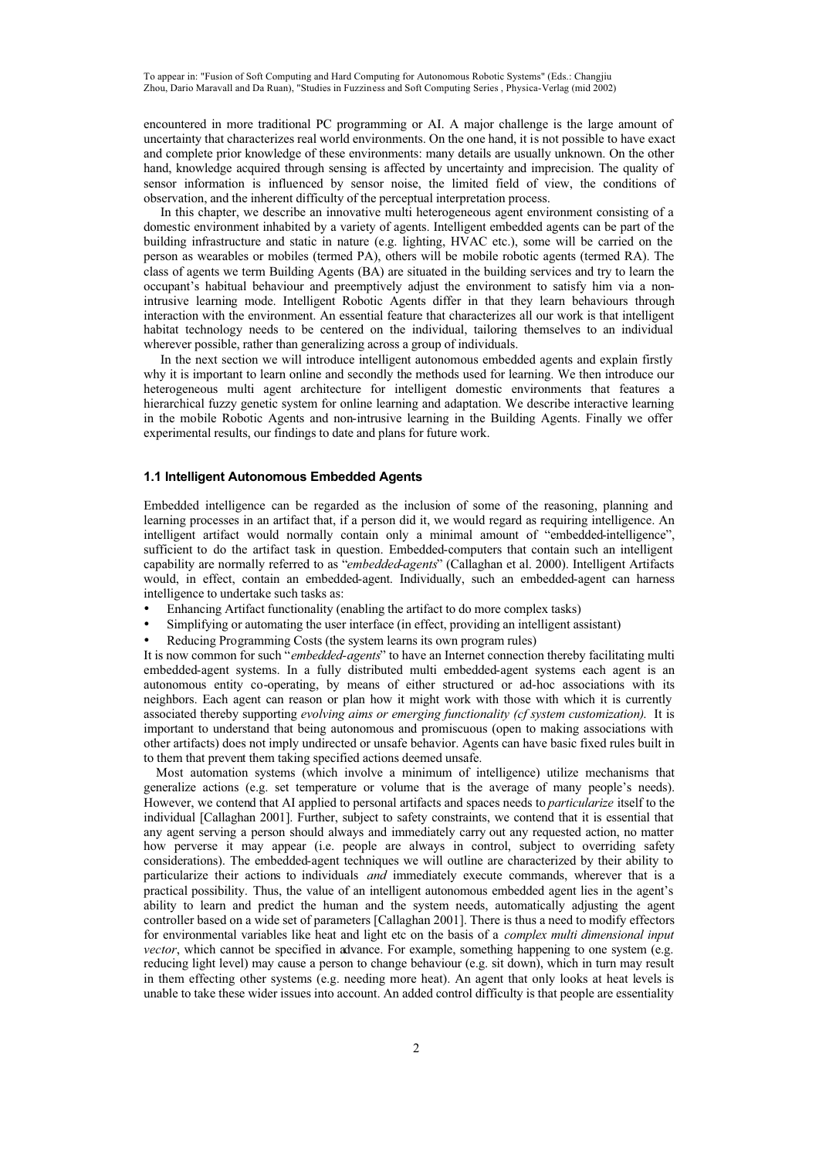encountered in more traditional PC programming or AI. A major challenge is the large amount of uncertainty that characterizes real world environments. On the one hand, it is not possible to have exact and complete prior knowledge of these environments: many details are usually unknown. On the other hand, knowledge acquired through sensing is affected by uncertainty and imprecision. The quality of sensor information is influenced by sensor noise, the limited field of view, the conditions of observation, and the inherent difficulty of the perceptual interpretation process.

 In this chapter, we describe an innovative multi heterogeneous agent environment consisting of a domestic environment inhabited by a variety of agents. Intelligent embedded agents can be part of the building infrastructure and static in nature (e.g. lighting, HVAC etc.), some will be carried on the person as wearables or mobiles (termed PA), others will be mobile robotic agents (termed RA). The class of agents we term Building Agents (BA) are situated in the building services and try to learn the occupant's habitual behaviour and preemptively adjust the environment to satisfy him via a nonintrusive learning mode. Intelligent Robotic Agents differ in that they learn behaviours through interaction with the environment. An essential feature that characterizes all our work is that intelligent habitat technology needs to be centered on the individual, tailoring themselves to an individual wherever possible, rather than generalizing across a group of individuals.

 In the next section we will introduce intelligent autonomous embedded agents and explain firstly why it is important to learn online and secondly the methods used for learning. We then introduce our heterogeneous multi agent architecture for intelligent domestic environments that features a hierarchical fuzzy genetic system for online learning and adaptation. We describe interactive learning in the mobile Robotic Agents and non-intrusive learning in the Building Agents. Finally we offer experimental results, our findings to date and plans for future work.

#### **1.1 Intelligent Autonomous Embedded Agents**

Embedded intelligence can be regarded as the inclusion of some of the reasoning, planning and learning processes in an artifact that, if a person did it, we would regard as requiring intelligence. An intelligent artifact would normally contain only a minimal amount of "embedded-intelligence", sufficient to do the artifact task in question. Embedded-computers that contain such an intelligent capability are normally referred to as "*embedded-agents*" (Callaghan et al. 2000). Intelligent Artifacts would, in effect, contain an embedded-agent. Individually, such an embedded-agent can harness intelligence to undertake such tasks as:

- Enhancing Artifact functionality (enabling the artifact to do more complex tasks)
- Simplifying or automating the user interface (in effect, providing an intelligent assistant)
- Reducing Programming Costs (the system learns its own program rules)

It is now common for such "*embedded-agents*" to have an Internet connection thereby facilitating multi embedded-agent systems. In a fully distributed multi embedded-agent systems each agent is an autonomous entity co-operating, by means of either structured or ad-hoc associations with its neighbors. Each agent can reason or plan how it might work with those with which it is currently associated thereby supporting *evolving aims or emerging functionality (cf system customization)*. It is important to understand that being autonomous and promiscuous (open to making associations with other artifacts) does not imply undirected or unsafe behavior. Agents can have basic fixed rules built in to them that prevent them taking specified actions deemed unsafe.

 Most automation systems (which involve a minimum of intelligence) utilize mechanisms that generalize actions (e.g. set temperature or volume that is the average of many people's needs). However, we contend that AI applied to personal artifacts and spaces needs to *particularize* itself to the individual [Callaghan 2001]. Further, subject to safety constraints, we contend that it is essential that any agent serving a person should always and immediately carry out any requested action, no matter how perverse it may appear (i.e. people are always in control, subject to overriding safety considerations). The embedded-agent techniques we will outline are characterized by their ability to particularize their actions to individuals *and* immediately execute commands, wherever that is a practical possibility. Thus, the value of an intelligent autonomous embedded agent lies in the agent's ability to learn and predict the human and the system needs, automatically adjusting the agent controller based on a wide set of parameters [Callaghan 2001]. There is thus a need to modify effectors for environmental variables like heat and light etc on the basis of a *complex multi dimensional input vector*, which cannot be specified in advance. For example, something happening to one system (e.g. reducing light level) may cause a person to change behaviour (e.g. sit down), which in turn may result in them effecting other systems (e.g. needing more heat). An agent that only looks at heat levels is unable to take these wider issues into account. An added control difficulty is that people are essentiality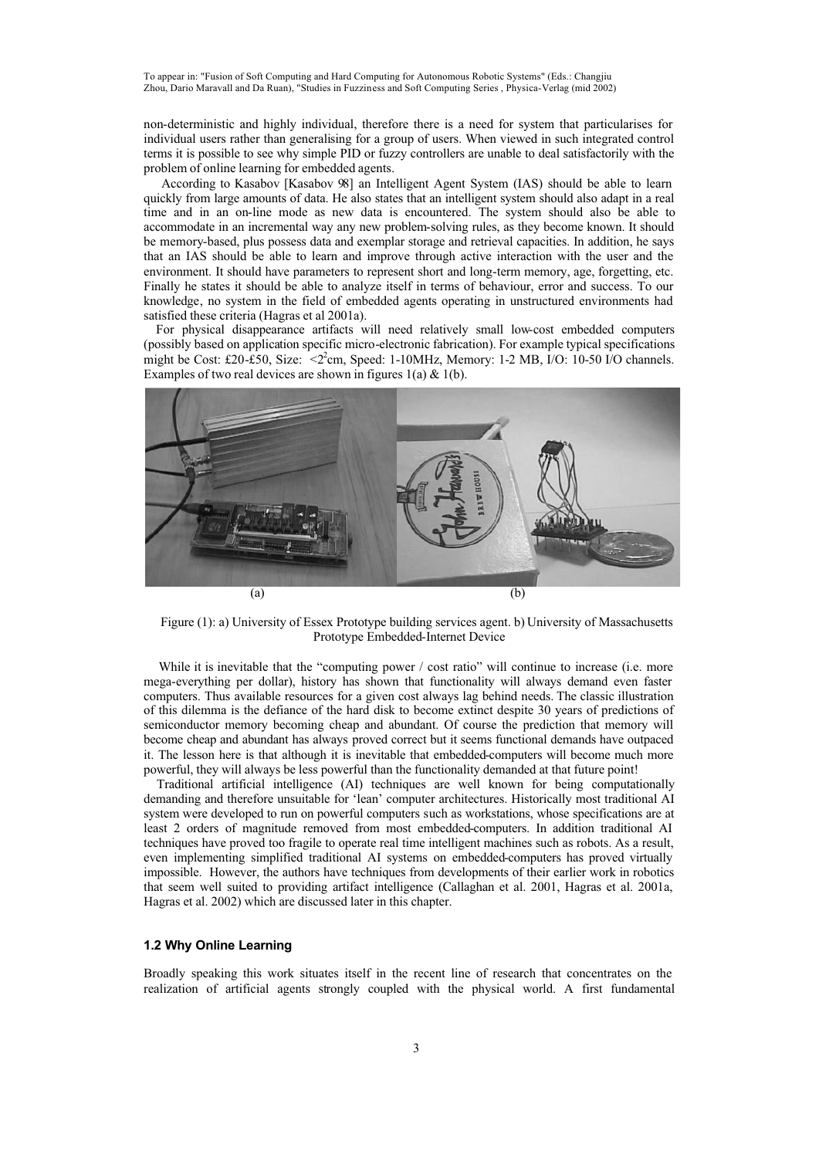non-deterministic and highly individual, therefore there is a need for system that particularises for individual users rather than generalising for a group of users. When viewed in such integrated control terms it is possible to see why simple PID or fuzzy controllers are unable to deal satisfactorily with the problem of online learning for embedded agents.

 According to Kasabov [Kasabov 98] an Intelligent Agent System (IAS) should be able to learn quickly from large amounts of data. He also states that an intelligent system should also adapt in a real time and in an on-line mode as new data is encountered. The system should also be able to accommodate in an incremental way any new problem-solving rules, as they become known. It should be memory-based, plus possess data and exemplar storage and retrieval capacities. In addition, he says that an IAS should be able to learn and improve through active interaction with the user and the environment. It should have parameters to represent short and long-term memory, age, forgetting, etc. Finally he states it should be able to analyze itself in terms of behaviour, error and success. To our knowledge, no system in the field of embedded agents operating in unstructured environments had satisfied these criteria (Hagras et al 2001a).

 For physical disappearance artifacts will need relatively small low-cost embedded computers (possibly based on application specific micro-electronic fabrication). For example typical specifications might be Cost: £20-£50, Size:  $\langle 2^2 \text{cm}$ , Speed: 1-10MHz, Memory: 1-2 MB,  $\dot{I}/O$ : 10-50  $\dot{I}/O$  channels. Examples of two real devices are shown in figures  $1(a) \& 1(b)$ .



Figure (1): a) University of Essex Prototype building services agent. b) University of Massachusetts Prototype Embedded-Internet Device

While it is inevitable that the "computing power / cost ratio" will continue to increase (i.e. more mega-everything per dollar), history has shown that functionality will always demand even faster computers. Thus available resources for a given cost always lag behind needs. The classic illustration of this dilemma is the defiance of the hard disk to become extinct despite 30 years of predictions of semiconductor memory becoming cheap and abundant. Of course the prediction that memory will become cheap and abundant has always proved correct but it seems functional demands have outpaced it. The lesson here is that although it is inevitable that embedded-computers will become much more powerful, they will always be less powerful than the functionality demanded at that future point!

 Traditional artificial intelligence (AI) techniques are well known for being computationally demanding and therefore unsuitable for 'lean' computer architectures. Historically most traditional AI system were developed to run on powerful computers such as workstations, whose specifications are at least 2 orders of magnitude removed from most embedded-computers. In addition traditional AI techniques have proved too fragile to operate real time intelligent machines such as robots. As a result, even implementing simplified traditional AI systems on embedded-computers has proved virtually impossible. However, the authors have techniques from developments of their earlier work in robotics that seem well suited to providing artifact intelligence (Callaghan et al. 2001, Hagras et al. 2001a, Hagras et al. 2002) which are discussed later in this chapter.

#### **1.2 Why Online Learning**

Broadly speaking this work situates itself in the recent line of research that concentrates on the realization of artificial agents strongly coupled with the physical world. A first fundamental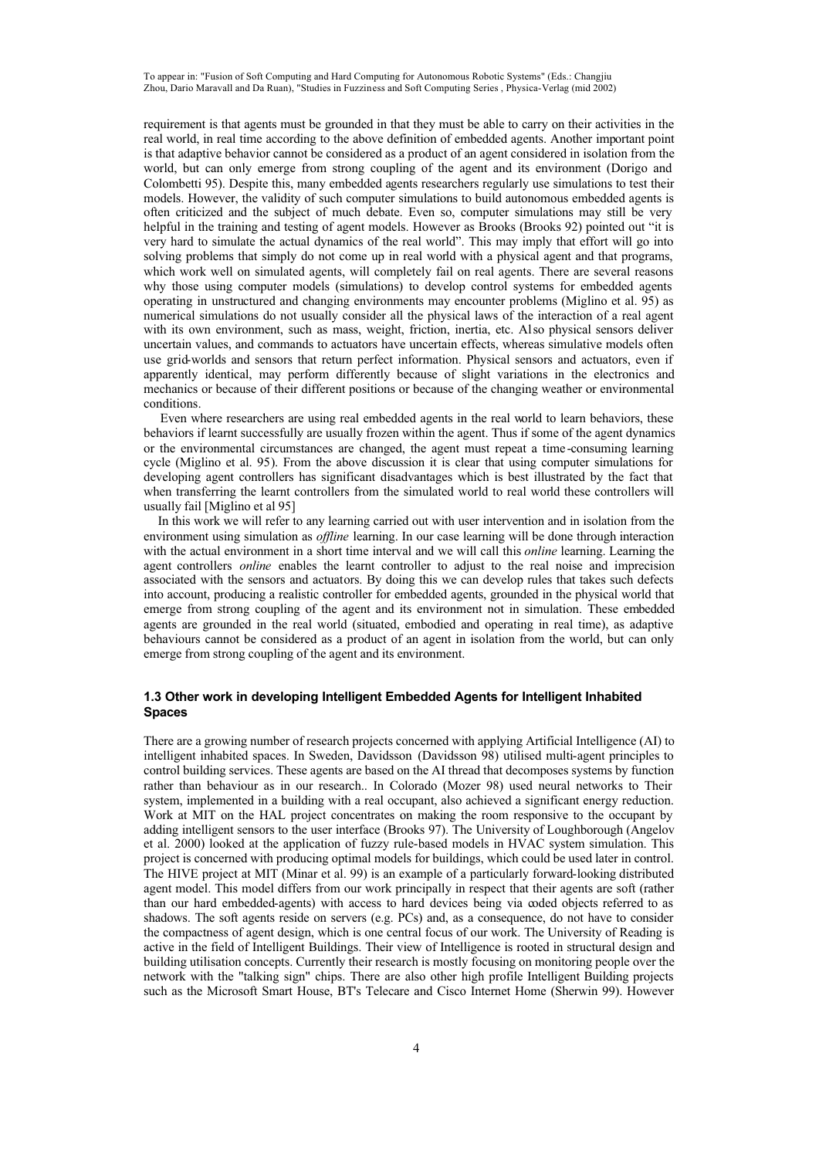requirement is that agents must be grounded in that they must be able to carry on their activities in the real world, in real time according to the above definition of embedded agents. Another important point is that adaptive behavior cannot be considered as a product of an agent considered in isolation from the world, but can only emerge from strong coupling of the agent and its environment (Dorigo and Colombetti 95). Despite this, many embedded agents researchers regularly use simulations to test their models. However, the validity of such computer simulations to build autonomous embedded agents is often criticized and the subject of much debate. Even so, computer simulations may still be very helpful in the training and testing of agent models. However as Brooks (Brooks 92) pointed out "it is very hard to simulate the actual dynamics of the real world". This may imply that effort will go into solving problems that simply do not come up in real world with a physical agent and that programs, which work well on simulated agents, will completely fail on real agents. There are several reasons why those using computer models (simulations) to develop control systems for embedded agents operating in unstructured and changing environments may encounter problems (Miglino et al. 95) as numerical simulations do not usually consider all the physical laws of the interaction of a real agent with its own environment, such as mass, weight, friction, inertia, etc. Also physical sensors deliver uncertain values, and commands to actuators have uncertain effects, whereas simulative models often use grid-worlds and sensors that return perfect information. Physical sensors and actuators, even if apparently identical, may perform differently because of slight variations in the electronics and mechanics or because of their different positions or because of the changing weather or environmental conditions.

 Even where researchers are using real embedded agents in the real world to learn behaviors, these behaviors if learnt successfully are usually frozen within the agent. Thus if some of the agent dynamics or the environmental circumstances are changed, the agent must repeat a time-consuming learning cycle (Miglino et al. 95). From the above discussion it is clear that using computer simulations for developing agent controllers has significant disadvantages which is best illustrated by the fact that when transferring the learnt controllers from the simulated world to real world these controllers will usually fail [Miglino et al 95]

 In this work we will refer to any learning carried out with user intervention and in isolation from the environment using simulation as *offline* learning. In our case learning will be done through interaction with the actual environment in a short time interval and we will call this *online* learning. Learning the agent controllers *online* enables the learnt controller to adjust to the real noise and imprecision associated with the sensors and actuators. By doing this we can develop rules that takes such defects into account, producing a realistic controller for embedded agents, grounded in the physical world that emerge from strong coupling of the agent and its environment not in simulation. These embedded agents are grounded in the real world (situated, embodied and operating in real time), as adaptive behaviours cannot be considered as a product of an agent in isolation from the world, but can only emerge from strong coupling of the agent and its environment.

### **1.3 Other work in developing Intelligent Embedded Agents for Intelligent Inhabited Spaces**

There are a growing number of research projects concerned with applying Artificial Intelligence (AI) to intelligent inhabited spaces. In Sweden, Davidsson (Davidsson 98) utilised multi-agent principles to control building services. These agents are based on the AI thread that decomposes systems by function rather than behaviour as in our research.. In Colorado (Mozer 98) used neural networks to Their system, implemented in a building with a real occupant, also achieved a significant energy reduction. Work at MIT on the HAL project concentrates on making the room responsive to the occupant by adding intelligent sensors to the user interface (Brooks 97). The University of Loughborough (Angelov et al. 2000) looked at the application of fuzzy rule-based models in HVAC system simulation. This project is concerned with producing optimal models for buildings, which could be used later in control. The HIVE project at MIT (Minar et al. 99) is an example of a particularly forward-looking distributed agent model. This model differs from our work principally in respect that their agents are soft (rather than our hard embedded-agents) with access to hard devices being via coded objects referred to as shadows. The soft agents reside on servers (e.g. PCs) and, as a consequence, do not have to consider the compactness of agent design, which is one central focus of our work. The University of Reading is active in the field of Intelligent Buildings. Their view of Intelligence is rooted in structural design and building utilisation concepts. Currently their research is mostly focusing on monitoring people over the network with the "talking sign" chips. There are also other high profile Intelligent Building projects such as the Microsoft Smart House, BT's Telecare and Cisco Internet Home (Sherwin 99). However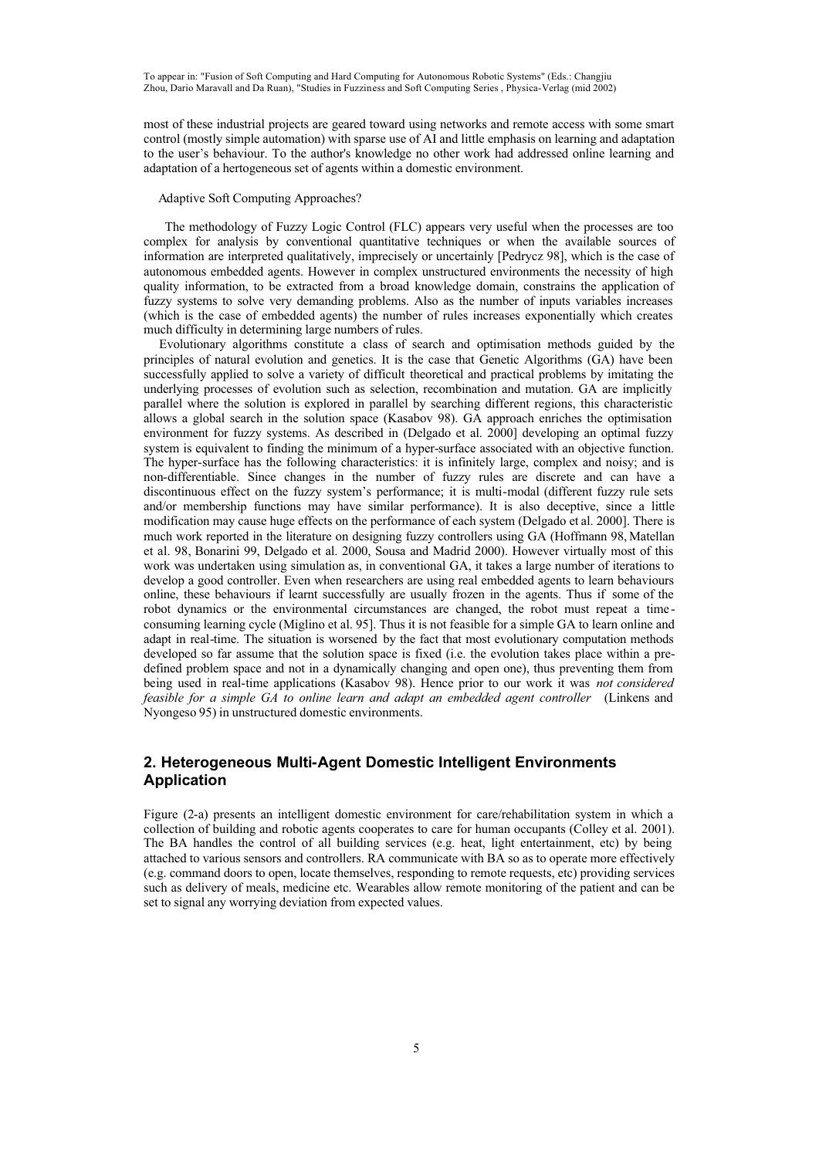most of these industrial projects are geared toward using networks and remote access with some smart control (mostly simple automation) with sparse use of AI and little emphasis on learning and adaptation to the user's behaviour. To the author's knowledge no other work had addressed online learning and adaptation of a hertogeneous set of agents within a domestic environment.

#### Adaptive Soft Computing Approaches?

 The methodology of Fuzzy Logic Control (FLC) appears very useful when the processes are too complex for analysis by conventional quantitative techniques or when the available sources of information are interpreted qualitatively, imprecisely or uncertainly [Pedrycz 98], which is the case of autonomous embedded agents. However in complex unstructured environments the necessity of high quality information, to be extracted from a broad knowledge domain, constrains the application of fuzzy systems to solve very demanding problems. Also as the number of inputs variables increases (which is the case of embedded agents) the number of rules increases exponentially which creates much difficulty in determining large numbers of rules.

Evolutionary algorithms constitute a class of search and optimisation methods guided by the principles of natural evolution and genetics. It is the case that Genetic Algorithms (GA) have been successfully applied to solve a variety of difficult theoretical and practical problems by imitating the underlying processes of evolution such as selection, recombination and mutation. GA are implicitly parallel where the solution is explored in parallel by searching different regions, this characteristic allows a global search in the solution space (Kasabov 98). GA approach enriches the optimisation environment for fuzzy systems. As described in (Delgado et al. 2000] developing an optimal fuzzy system is equivalent to finding the minimum of a hyper-surface associated with an objective function. The hyper-surface has the following characteristics: it is infinitely large, complex and noisy; and is non-differentiable. Since changes in the number of fuzzy rules are discrete and can have a discontinuous effect on the fuzzy system's performance; it is multi-modal (different fuzzy rule sets and/or membership functions may have similar performance). It is also deceptive, since a little modification may cause huge effects on the performance of each system (Delgado et al. 2000]. There is much work reported in the literature on designing fuzzy controllers using GA (Hoffmann 98, Matellan et al. 98, Bonarini 99, Delgado et al. 2000, Sousa and Madrid 2000). However virtually most of this work was undertaken using simulation as, in conventional GA, it takes a large number of iterations to develop a good controller. Even when researchers are using real embedded agents to learn behaviours online, these behaviours if learnt successfully are usually frozen in the agents. Thus if some of the robot dynamics or the environmental circumstances are changed, the robot must repeat a timeconsuming learning cycle (Miglino et al. 95]. Thus it is not feasible for a simple GA to learn online and adapt in real-time. The situation is worsened by the fact that most evolutionary computation methods developed so far assume that the solution space is fixed (i.e. the evolution takes place within a predefined problem space and not in a dynamically changing and open one), thus preventing them from being used in real-time applications (Kasabov 98). Hence prior to our work it was *not considered feasible for a simple GA to online learn and adapt an embedded agent controller* (Linkens and Nyongeso 95) in unstructured domestic environments.

# **2. Heterogeneous Multi-Agent Domestic Intelligent Environments Application**

Figure (2-a) presents an intelligent domestic environment for care/rehabilitation system in which a collection of building and robotic agents cooperates to care for human occupants (Colley et al. 2001). The BA handles the control of all building services (e.g. heat, light entertainment, etc) by being attached to various sensors and controllers. RA communicate with BA so as to operate more effectively (e.g. command doors to open, locate themselves, responding to remote requests, etc) providing services such as delivery of meals, medicine etc. Wearables allow remote monitoring of the patient and can be set to signal any worrying deviation from expected values.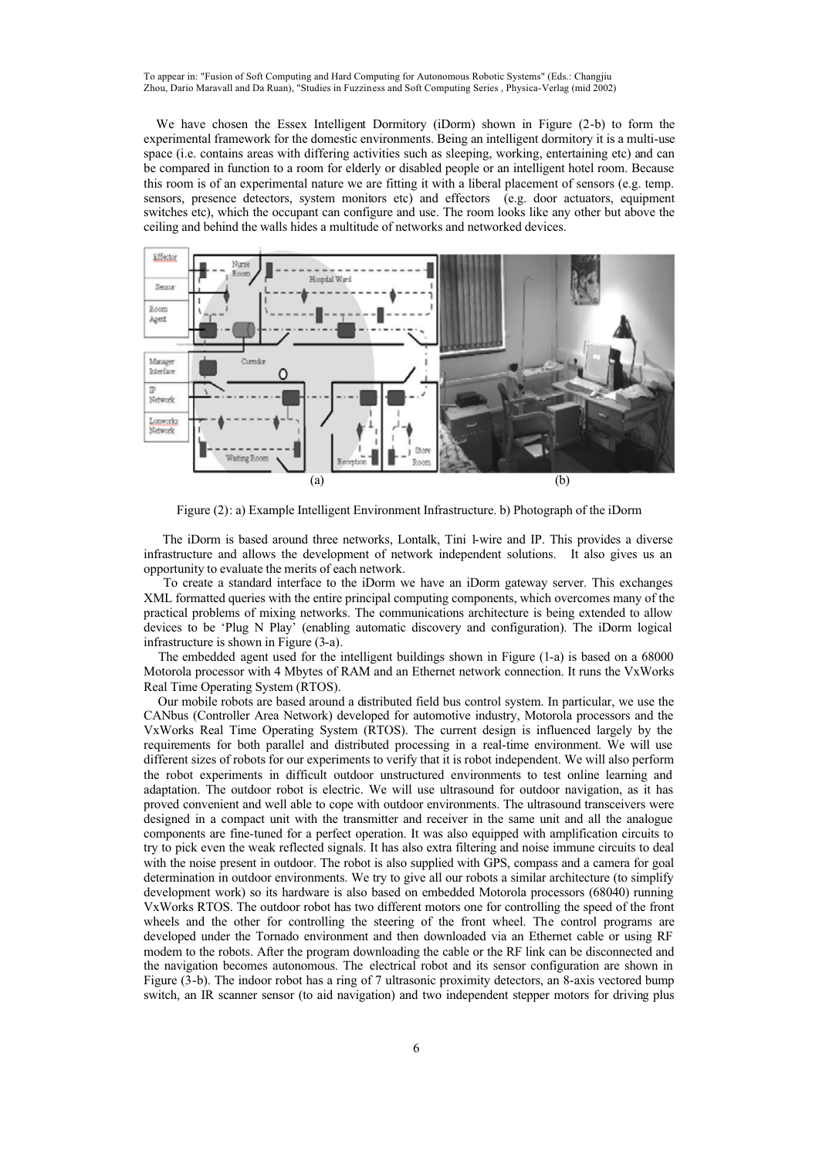We have chosen the Essex Intelligent Dormitory (iDorm) shown in Figure (2-b) to form the experimental framework for the domestic environments. Being an intelligent dormitory it is a multi-use space (i.e. contains areas with differing activities such as sleeping, working, entertaining etc) and can be compared in function to a room for elderly or disabled people or an intelligent hotel room. Because this room is of an experimental nature we are fitting it with a liberal placement of sensors (e.g. temp. sensors, presence detectors, system monitors etc) and effectors (e.g. door actuators, equipment switches etc), which the occupant can configure and use. The room looks like any other but above the ceiling and behind the walls hides a multitude of networks and networked devices.



Figure (2): a) Example Intelligent Environment Infrastructure. b) Photograph of the iDorm

 The iDorm is based around three networks, Lontalk, Tini 1-wire and IP. This provides a diverse infrastructure and allows the development of network independent solutions. It also gives us an opportunity to evaluate the merits of each network.

 To create a standard interface to the iDorm we have an iDorm gateway server. This exchanges XML formatted queries with the entire principal computing components, which overcomes many of the practical problems of mixing networks. The communications architecture is being extended to allow devices to be 'Plug N Play' (enabling automatic discovery and configuration). The iDorm logical infrastructure is shown in Figure (3-a).

The embedded agent used for the intelligent buildings shown in Figure (1-a) is based on a 68000 Motorola processor with 4 Mbytes of RAM and an Ethernet network connection. It runs the VxWorks Real Time Operating System (RTOS).

 Our mobile robots are based around a distributed field bus control system. In particular, we use the CANbus (Controller Area Network) developed for automotive industry, Motorola processors and the VxWorks Real Time Operating System (RTOS). The current design is influenced largely by the requirements for both parallel and distributed processing in a real-time environment. We will use different sizes of robots for our experiments to verify that it is robot independent. We will also perform the robot experiments in difficult outdoor unstructured environments to test online learning and adaptation. The outdoor robot is electric. We will use ultrasound for outdoor navigation, as it has proved convenient and well able to cope with outdoor environments. The ultrasound transceivers were designed in a compact unit with the transmitter and receiver in the same unit and all the analogue components are fine-tuned for a perfect operation. It was also equipped with amplification circuits to try to pick even the weak reflected signals. It has also extra filtering and noise immune circuits to deal with the noise present in outdoor. The robot is also supplied with GPS, compass and a camera for goal determination in outdoor environments. We try to give all our robots a similar architecture (to simplify development work) so its hardware is also based on embedded Motorola processors (68040) running VxWorks RTOS. The outdoor robot has two different motors one for controlling the speed of the front wheels and the other for controlling the steering of the front wheel. The control programs are developed under the Tornado environment and then downloaded via an Ethernet cable or using RF modem to the robots. After the program downloading the cable or the RF link can be disconnected and the navigation becomes autonomous. The electrical robot and its sensor configuration are shown in Figure (3-b). The indoor robot has a ring of 7 ultrasonic proximity detectors, an 8-axis vectored bump switch, an IR scanner sensor (to aid navigation) and two independent stepper motors for driving plus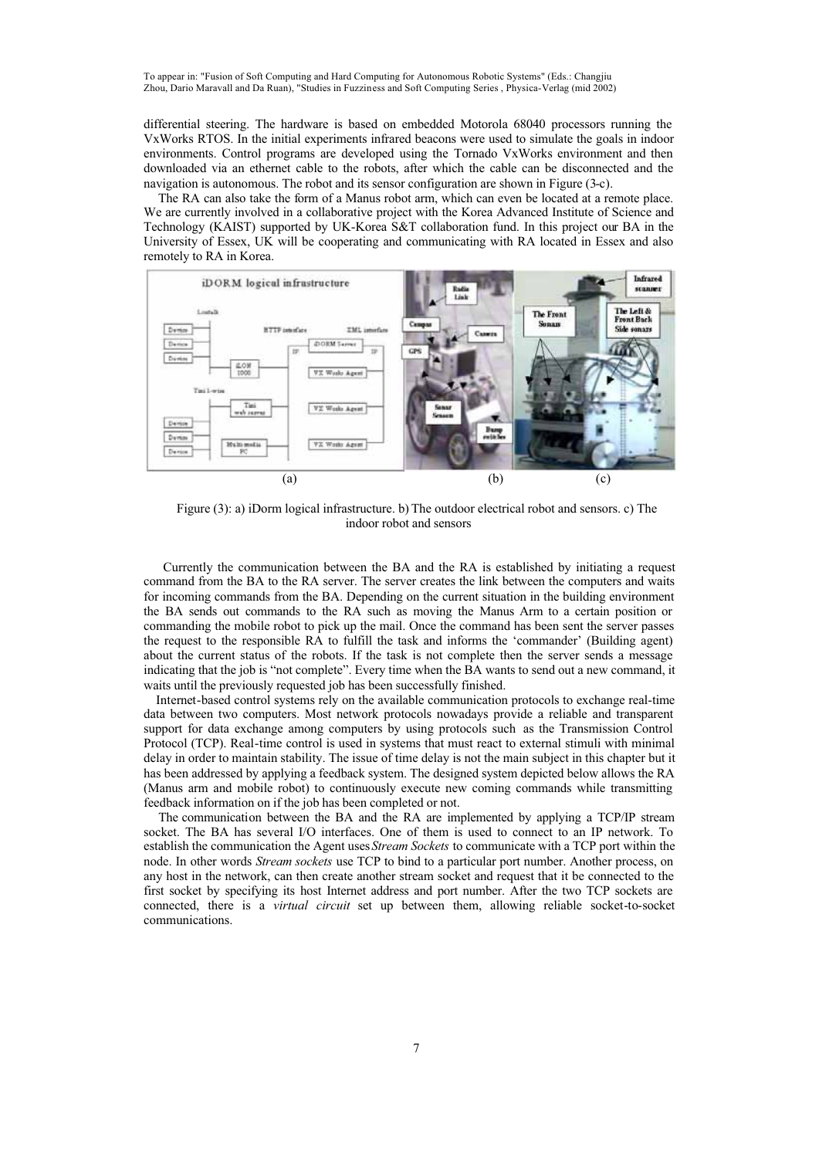differential steering. The hardware is based on embedded Motorola 68040 processors running the VxWorks RTOS. In the initial experiments infrared beacons were used to simulate the goals in indoor environments. Control programs are developed using the Tornado VxWorks environment and then downloaded via an ethernet cable to the robots, after which the cable can be disconnected and the navigation is autonomous. The robot and its sensor configuration are shown in Figure (3-c).

The RA can also take the form of a Manus robot arm, which can even be located at a remote place. We are currently involved in a collaborative project with the Korea Advanced Institute of Science and Technology (KAIST) supported by UK-Korea S&T collaboration fund. In this project our BA in the University of Essex, UK will be cooperating and communicating with RA located in Essex and also remotely to RA in Korea.



Figure (3): a) iDorm logical infrastructure. b) The outdoor electrical robot and sensors. c) The indoor robot and sensors

 Currently the communication between the BA and the RA is established by initiating a request command from the BA to the RA server. The server creates the link between the computers and waits for incoming commands from the BA. Depending on the current situation in the building environment the BA sends out commands to the RA such as moving the Manus Arm to a certain position or commanding the mobile robot to pick up the mail. Once the command has been sent the server passes the request to the responsible RA to fulfill the task and informs the 'commander' (Building agent) about the current status of the robots. If the task is not complete then the server sends a message indicating that the job is "not complete". Every time when the BA wants to send out a new command, it waits until the previously requested job has been successfully finished.

 Internet-based control systems rely on the available communication protocols to exchange real-time data between two computers. Most network protocols nowadays provide a reliable and transparent support for data exchange among computers by using protocols such as the Transmission Control Protocol (TCP). Real-time control is used in systems that must react to external stimuli with minimal delay in order to maintain stability. The issue of time delay is not the main subject in this chapter but it has been addressed by applying a feedback system. The designed system depicted below allows the RA (Manus arm and mobile robot) to continuously execute new coming commands while transmitting feedback information on if the job has been completed or not.

 The communication between the BA and the RA are implemented by applying a TCP/IP stream socket. The BA has several I/O interfaces. One of them is used to connect to an IP network. To establish the communication the Agent uses *Stream Sockets* to communicate with a TCP port within the node. In other words *Stream sockets* use TCP to bind to a particular port number. Another process, on any host in the network, can then create another stream socket and request that it be connected to the first socket by specifying its host Internet address and port number. After the two TCP sockets are connected, there is a *virtual circuit* set up between them, allowing reliable socket-to-socket communications.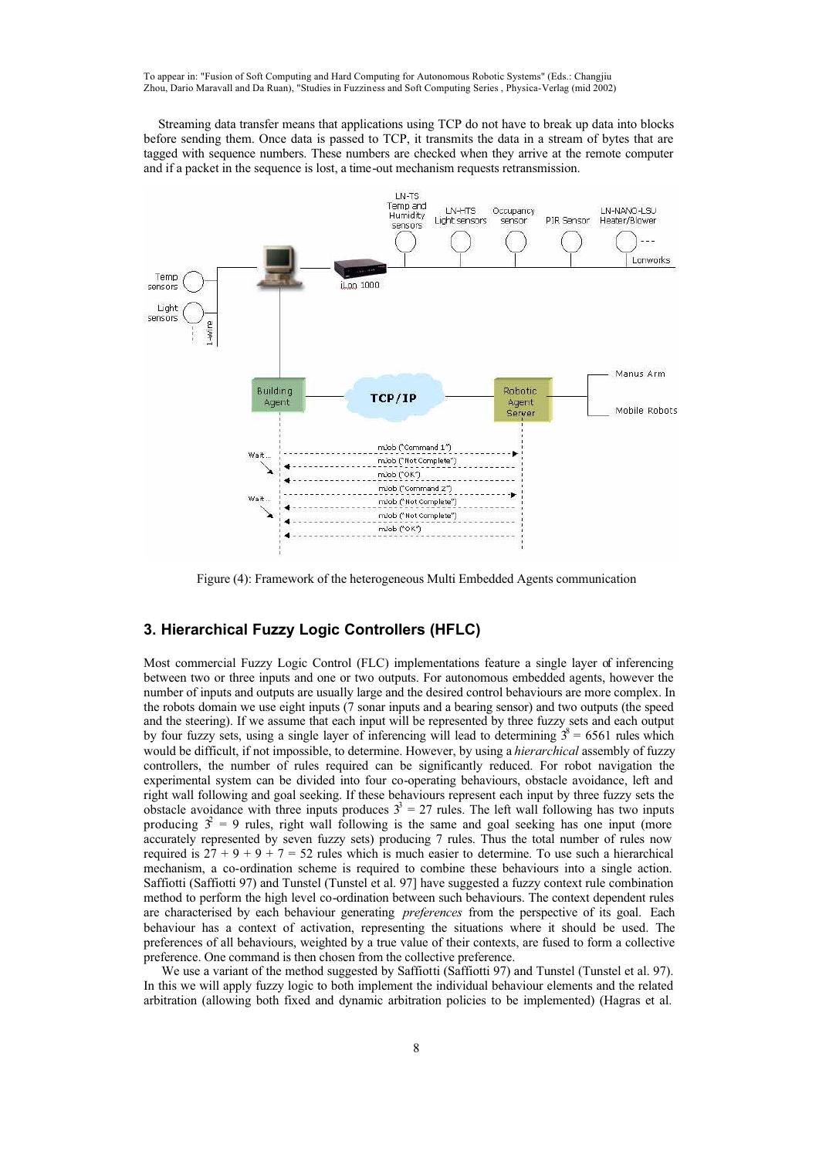Streaming data transfer means that applications using TCP do not have to break up data into blocks before sending them. Once data is passed to TCP, it transmits the data in a stream of bytes that are tagged with sequence numbers. These numbers are checked when they arrive at the remote computer and if a packet in the sequence is lost, a time-out mechanism requests retransmission.



Figure (4): Framework of the heterogeneous Multi Embedded Agents communication

## **3. Hierarchical Fuzzy Logic Controllers (HFLC)**

Most commercial Fuzzy Logic Control (FLC) implementations feature a single layer of inferencing between two or three inputs and one or two outputs. For autonomous embedded agents, however the number of inputs and outputs are usually large and the desired control behaviours are more complex. In the robots domain we use eight inputs (7 sonar inputs and a bearing sensor) and two outputs (the speed and the steering). If we assume that each input will be represented by three fuzzy sets and each output by four fuzzy sets, using a single layer of inferencing will lead to determining  $3<sup>8</sup> = 6561$  rules which would be difficult, if not impossible, to determine. However, by using a *hierarchical* assembly of fuzzy controllers, the number of rules required can be significantly reduced. For robot navigation the experimental system can be divided into four co-operating behaviours, obstacle avoidance, left and right wall following and goal seeking. If these behaviours represent each input by three fuzzy sets the obstacle avoidance with three inputs produces  $3^3 = 27$  rules. The left wall following has two inputs producing  $3^2 = 9$  rules, right wall following is the same and goal seeking has one input (more accurately represented by seven fuzzy sets) producing 7 rules. Thus the total number of rules now required is  $27 + 9 + 9 + 7 = 52$  rules which is much easier to determine. To use such a hierarchical mechanism, a co-ordination scheme is required to combine these behaviours into a single action. Saffiotti (Saffiotti 97) and Tunstel (Tunstel et al. 97] have suggested a fuzzy context rule combination method to perform the high level co-ordination between such behaviours. The context dependent rules are characterised by each behaviour generating *preferences* from the perspective of its goal. Each behaviour has a context of activation, representing the situations where it should be used. The preferences of all behaviours, weighted by a true value of their contexts, are fused to form a collective preference. One command is then chosen from the collective preference.

We use a variant of the method suggested by Saffiotti (Saffiotti 97) and Tunstel (Tunstel et al. 97). In this we will apply fuzzy logic to both implement the individual behaviour elements and the related arbitration (allowing both fixed and dynamic arbitration policies to be implemented) (Hagras et al.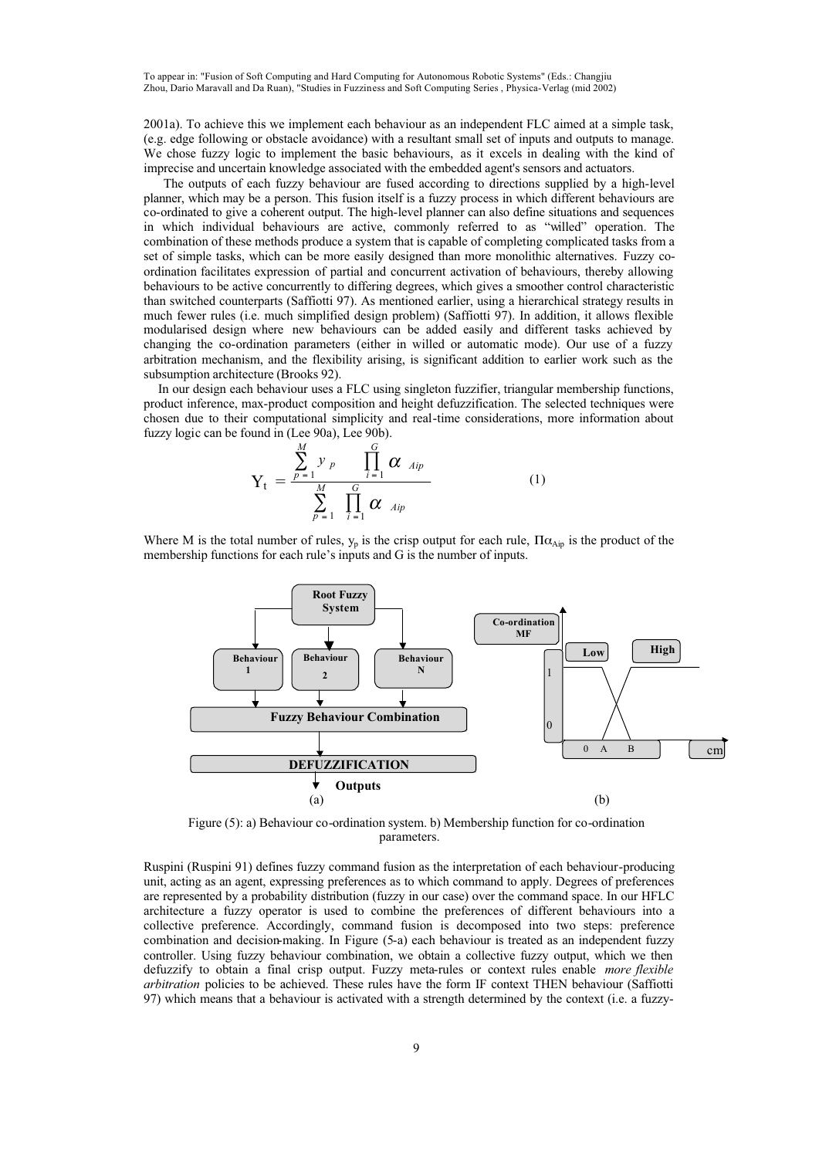2001a). To achieve this we implement each behaviour as an independent FLC aimed at a simple task, (e.g. edge following or obstacle avoidance) with a resultant small set of inputs and outputs to manage. We chose fuzzy logic to implement the basic behaviours, as it excels in dealing with the kind of imprecise and uncertain knowledge associated with the embedded agent's sensors and actuators.

 The outputs of each fuzzy behaviour are fused according to directions supplied by a high-level planner, which may be a person. This fusion itself is a fuzzy process in which different behaviours are co-ordinated to give a coherent output. The high-level planner can also define situations and sequences in which individual behaviours are active, commonly referred to as "willed" operation. The combination of these methods produce a system that is capable of completing complicated tasks from a set of simple tasks, which can be more easily designed than more monolithic alternatives. Fuzzy coordination facilitates expression of partial and concurrent activation of behaviours, thereby allowing behaviours to be active concurrently to differing degrees, which gives a smoother control characteristic than switched counterparts (Saffiotti 97). As mentioned earlier, using a hierarchical strategy results in much fewer rules (i.e. much simplified design problem) (Saffiotti 97). In addition, it allows flexible modularised design where new behaviours can be added easily and different tasks achieved by changing the co-ordination parameters (either in willed or automatic mode). Our use of a fuzzy arbitration mechanism, and the flexibility arising, is significant addition to earlier work such as the subsumption architecture (Brooks 92).

 In our design each behaviour uses a FLC using singleton fuzzifier, triangular membership functions, product inference, max-product composition and height defuzzification. The selected techniques were chosen due to their computational simplicity and real-time considerations, more information about fuzzy logic can be found in (Lee 90a), Lee 90b).

$$
Y_{t} = \frac{\sum_{p=1}^{M} y_{p}}{\sum_{p=1}^{M} \prod_{i=1}^{G} \alpha_{Aip}} \qquad (1)
$$

Where M is the total number of rules,  $y_p$  is the crisp output for each rule,  $\Pi\alpha_{Aip}$  is the product of the membership functions for each rule's inputs and G is the number of inputs.



Figure (5): a) Behaviour co-ordination system. b) Membership function for co-ordination parameters.

Ruspini (Ruspini 91) defines fuzzy command fusion as the interpretation of each behaviour-producing unit, acting as an agent, expressing preferences as to which command to apply. Degrees of preferences are represented by a probability distribution (fuzzy in our case) over the command space. In our HFLC architecture a fuzzy operator is used to combine the preferences of different behaviours into a collective preference. Accordingly, command fusion is decomposed into two steps: preference combination and decision-making. In Figure (5-a) each behaviour is treated as an independent fuzzy controller. Using fuzzy behaviour combination, we obtain a collective fuzzy output, which we then defuzzify to obtain a final crisp output. Fuzzy meta-rules or context rules enable *more flexible arbitration* policies to be achieved. These rules have the form IF context THEN behaviour (Saffiotti 97) which means that a behaviour is activated with a strength determined by the context (i.e. a fuzzy-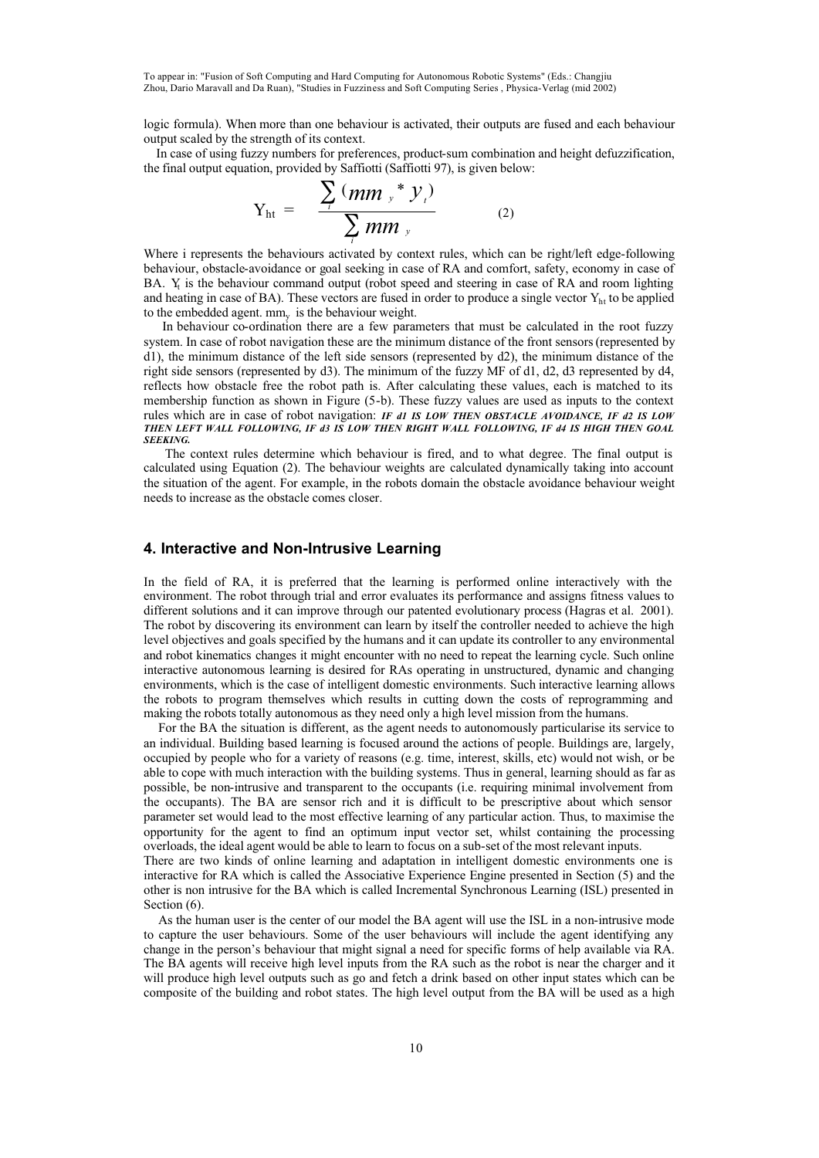logic formula). When more than one behaviour is activated, their outputs are fused and each behaviour output scaled by the strength of its context.

 In case of using fuzzy numbers for preferences, product-sum combination and height defuzzification, the final output equation, provided by Saffiotti (Saffiotti 97), is given below:

$$
Y_{ht} = \frac{\sum_{i} (mm_{y} * y_{i})}{\sum_{i} mm_{y}}
$$
 (2)

Where i represents the behaviours activated by context rules, which can be right/left edge-following behaviour, obstacle-avoidance or goal seeking in case of RA and comfort, safety, economy in case of BA.  $Y_t$  is the behaviour command output (robot speed and steering in case of RA and room lighting and heating in case of BA). These vectors are fused in order to produce a single vector  $Y<sub>ht</sub>$  to be applied to the embedded agent. mm<sub>y</sub> is the behaviour weight.

 In behaviour co-ordination there are a few parameters that must be calculated in the root fuzzy system. In case of robot navigation these are the minimum distance of the front sensors (represented by d1), the minimum distance of the left side sensors (represented by d2), the minimum distance of the right side sensors (represented by d3). The minimum of the fuzzy MF of d1, d2, d3 represented by d4, reflects how obstacle free the robot path is. After calculating these values, each is matched to its membership function as shown in Figure (5-b). These fuzzy values are used as inputs to the context rules which are in case of robot navigation: *IF d1 IS LOW THEN OBSTACLE AVOIDANCE, IF d2 IS LOW THEN LEFT WALL FOLLOWING, IF d3 IS LOW THEN RIGHT WALL FOLLOWING, IF d4 IS HIGH THEN GOAL SEEKING.*

 The context rules determine which behaviour is fired, and to what degree. The final output is calculated using Equation (2). The behaviour weights are calculated dynamically taking into account the situation of the agent. For example, in the robots domain the obstacle avoidance behaviour weight needs to increase as the obstacle comes closer.

# **4. Interactive and Non-Intrusive Learning**

In the field of RA, it is preferred that the learning is performed online interactively with the environment. The robot through trial and error evaluates its performance and assigns fitness values to different solutions and it can improve through our patented evolutionary process (Hagras et al. 2001). The robot by discovering its environment can learn by itself the controller needed to achieve the high level objectives and goals specified by the humans and it can update its controller to any environmental and robot kinematics changes it might encounter with no need to repeat the learning cycle. Such online interactive autonomous learning is desired for RAs operating in unstructured, dynamic and changing environments, which is the case of intelligent domestic environments. Such interactive learning allows the robots to program themselves which results in cutting down the costs of reprogramming and making the robots totally autonomous as they need only a high level mission from the humans.

For the BA the situation is different, as the agent needs to autonomously particularise its service to an individual. Building based learning is focused around the actions of people. Buildings are, largely, occupied by people who for a variety of reasons (e.g. time, interest, skills, etc) would not wish, or be able to cope with much interaction with the building systems. Thus in general, learning should as far as possible, be non-intrusive and transparent to the occupants (i.e. requiring minimal involvement from the occupants). The BA are sensor rich and it is difficult to be prescriptive about which sensor parameter set would lead to the most effective learning of any particular action. Thus, to maximise the opportunity for the agent to find an optimum input vector set, whilst containing the processing overloads, the ideal agent would be able to learn to focus on a sub-set of the most relevant inputs.

There are two kinds of online learning and adaptation in intelligent domestic environments one is interactive for RA which is called the Associative Experience Engine presented in Section (5) and the other is non intrusive for the BA which is called Incremental Synchronous Learning (ISL) presented in Section  $(6)$ .

 As the human user is the center of our model the BA agent will use the ISL in a non-intrusive mode to capture the user behaviours. Some of the user behaviours will include the agent identifying any change in the person's behaviour that might signal a need for specific forms of help available via RA. The BA agents will receive high level inputs from the RA such as the robot is near the charger and it will produce high level outputs such as go and fetch a drink based on other input states which can be composite of the building and robot states. The high level output from the BA will be used as a high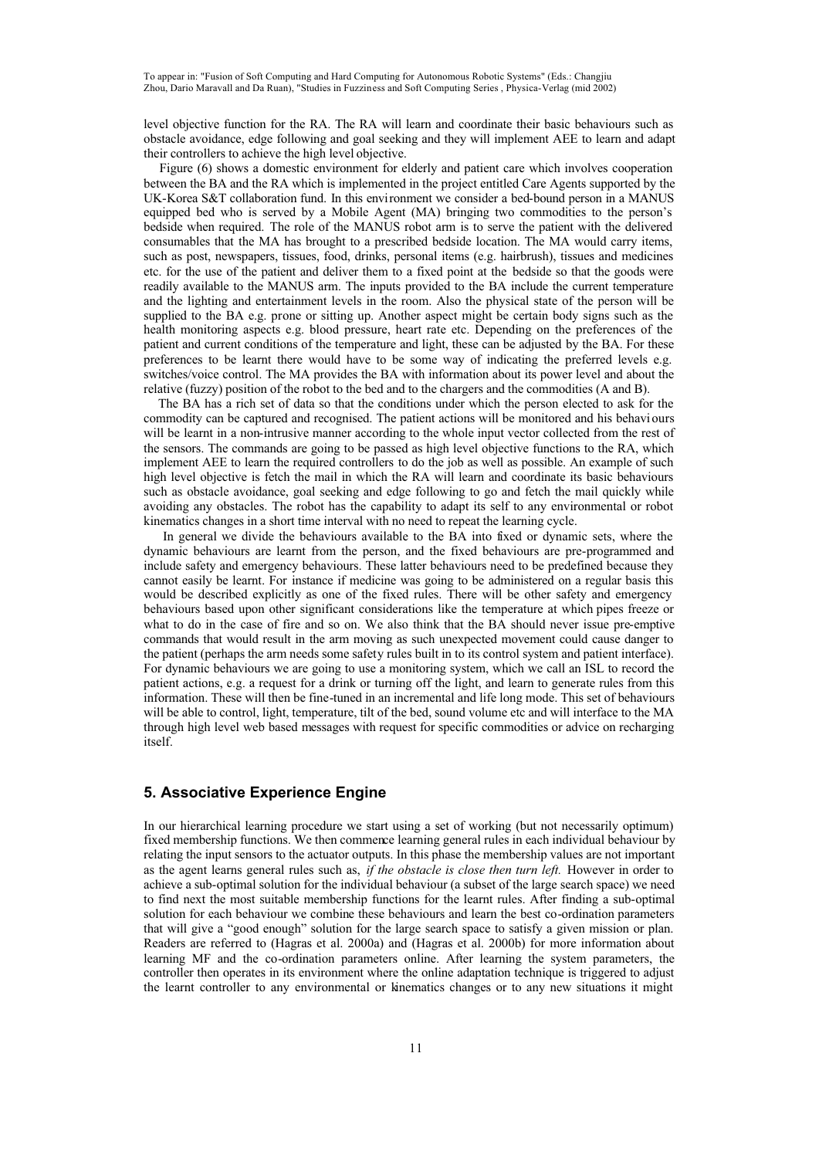level objective function for the RA. The RA will learn and coordinate their basic behaviours such as obstacle avoidance, edge following and goal seeking and they will implement AEE to learn and adapt their controllers to achieve the high level objective.

 Figure (6) shows a domestic environment for elderly and patient care which involves cooperation between the BA and the RA which is implemented in the project entitled Care Agents supported by the UK-Korea S&T collaboration fund. In this environment we consider a bed-bound person in a MANUS equipped bed who is served by a Mobile Agent (MA) bringing two commodities to the person's bedside when required. The role of the MANUS robot arm is to serve the patient with the delivered consumables that the MA has brought to a prescribed bedside location. The MA would carry items, such as post, newspapers, tissues, food, drinks, personal items (e.g. hairbrush), tissues and medicines etc. for the use of the patient and deliver them to a fixed point at the bedside so that the goods were readily available to the MANUS arm. The inputs provided to the BA include the current temperature and the lighting and entertainment levels in the room. Also the physical state of the person will be supplied to the BA e.g. prone or sitting up. Another aspect might be certain body signs such as the health monitoring aspects e.g. blood pressure, heart rate etc. Depending on the preferences of the patient and current conditions of the temperature and light, these can be adjusted by the BA. For these preferences to be learnt there would have to be some way of indicating the preferred levels e.g. switches/voice control. The MA provides the BA with information about its power level and about the relative (fuzzy) position of the robot to the bed and to the chargers and the commodities (A and B).

The BA has a rich set of data so that the conditions under which the person elected to ask for the commodity can be captured and recognised. The patient actions will be monitored and his behaviours will be learnt in a non-intrusive manner according to the whole input vector collected from the rest of the sensors. The commands are going to be passed as high level objective functions to the RA, which implement AEE to learn the required controllers to do the job as well as possible. An example of such high level objective is fetch the mail in which the RA will learn and coordinate its basic behaviours such as obstacle avoidance, goal seeking and edge following to go and fetch the mail quickly while avoiding any obstacles. The robot has the capability to adapt its self to any environmental or robot kinematics changes in a short time interval with no need to repeat the learning cycle.

 In general we divide the behaviours available to the BA into fixed or dynamic sets, where the dynamic behaviours are learnt from the person, and the fixed behaviours are pre-programmed and include safety and emergency behaviours. These latter behaviours need to be predefined because they cannot easily be learnt. For instance if medicine was going to be administered on a regular basis this would be described explicitly as one of the fixed rules. There will be other safety and emergency behaviours based upon other significant considerations like the temperature at which pipes freeze or what to do in the case of fire and so on. We also think that the BA should never issue pre-emptive commands that would result in the arm moving as such unexpected movement could cause danger to the patient (perhaps the arm needs some safety rules built in to its control system and patient interface). For dynamic behaviours we are going to use a monitoring system, which we call an ISL to record the patient actions, e.g. a request for a drink or turning off the light, and learn to generate rules from this information. These will then be fine-tuned in an incremental and life long mode. This set of behaviours will be able to control, light, temperature, tilt of the bed, sound volume etc and will interface to the MA through high level web based messages with request for specific commodities or advice on recharging itself.

### **5. Associative Experience Engine**

In our hierarchical learning procedure we start using a set of working (but not necessarily optimum) fixed membership functions. We then commence learning general rules in each individual behaviour by relating the input sensors to the actuator outputs. In this phase the membership values are not important as the agent learns general rules such as, *if the obstacle is close then turn left.* However in order to achieve a sub-optimal solution for the individual behaviour (a subset of the large search space) we need to find next the most suitable membership functions for the learnt rules. After finding a sub-optimal solution for each behaviour we combine these behaviours and learn the best co-ordination parameters that will give a "good enough" solution for the large search space to satisfy a given mission or plan. Readers are referred to (Hagras et al. 2000a) and (Hagras et al. 2000b) for more information about learning MF and the co-ordination parameters online. After learning the system parameters, the controller then operates in its environment where the online adaptation technique is triggered to adjust the learnt controller to any environmental or kinematics changes or to any new situations it might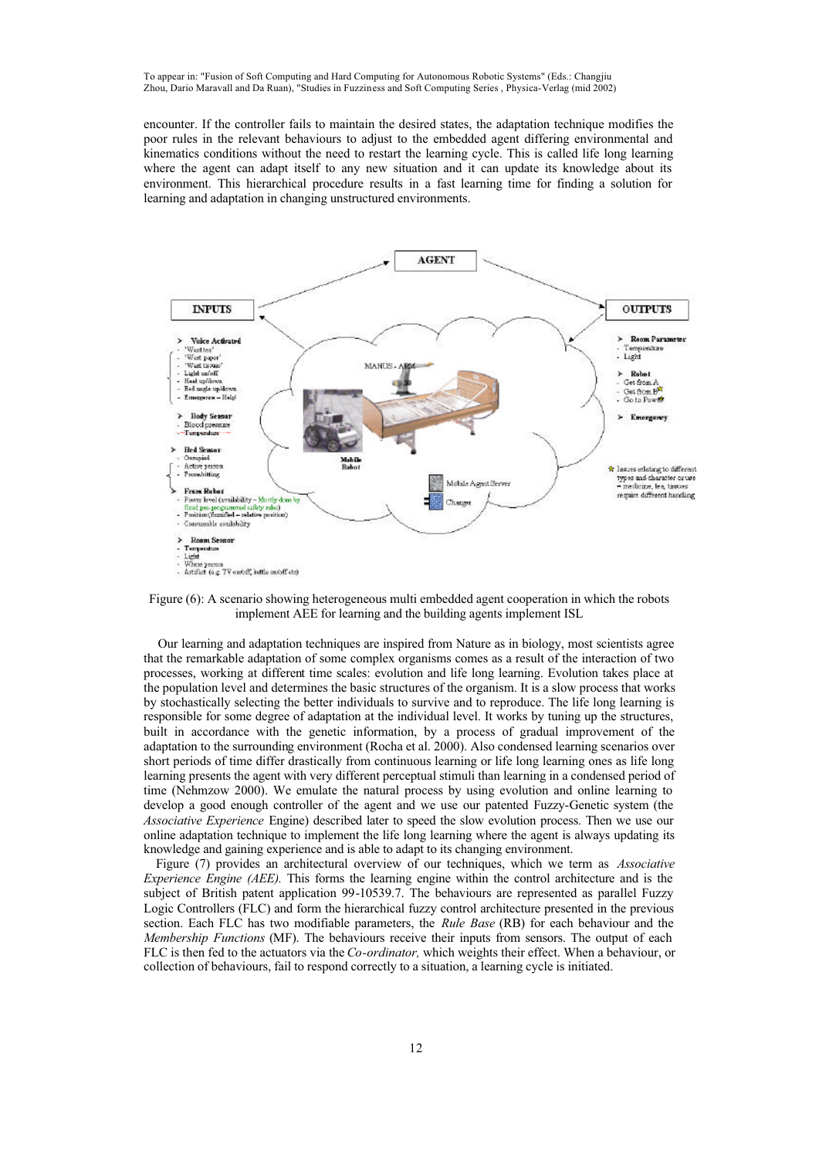encounter. If the controller fails to maintain the desired states, the adaptation technique modifies the poor rules in the relevant behaviours to adjust to the embedded agent differing environmental and kinematics conditions without the need to restart the learning cycle. This is called life long learning where the agent can adapt itself to any new situation and it can update its knowledge about its environment. This hierarchical procedure results in a fast learning time for finding a solution for learning and adaptation in changing unstructured environments.





 Our learning and adaptation techniques are inspired from Nature as in biology, most scientists agree that the remarkable adaptation of some complex organisms comes as a result of the interaction of two processes, working at different time scales: evolution and life long learning. Evolution takes place at the population level and determines the basic structures of the organism. It is a slow process that works by stochastically selecting the better individuals to survive and to reproduce. The life long learning is responsible for some degree of adaptation at the individual level. It works by tuning up the structures, built in accordance with the genetic information, by a process of gradual improvement of the adaptation to the surrounding environment (Rocha et al. 2000). Also condensed learning scenarios over short periods of time differ drastically from continuous learning or life long learning ones as life long learning presents the agent with very different perceptual stimuli than learning in a condensed period of time (Nehmzow 2000). We emulate the natural process by using evolution and online learning to develop a good enough controller of the agent and we use our patented Fuzzy-Genetic system (the *Associative Experience* Engine) described later to speed the slow evolution process. Then we use our online adaptation technique to implement the life long learning where the agent is always updating its knowledge and gaining experience and is able to adapt to its changing environment.

 Figure (7) provides an architectural overview of our techniques, which we term as *Associative Experience Engine (AEE).* This forms the learning engine within the control architecture and is the subject of British patent application 99-10539.7. The behaviours are represented as parallel Fuzzy Logic Controllers (FLC) and form the hierarchical fuzzy control architecture presented in the previous section. Each FLC has two modifiable parameters, the *Rule Base* (RB) for each behaviour and the *Membership Functions* (MF). The behaviours receive their inputs from sensors. The output of each FLC is then fed to the actuators via the *Co-ordinator,* which weights their effect. When a behaviour, or collection of behaviours, fail to respond correctly to a situation, a learning cycle is initiated.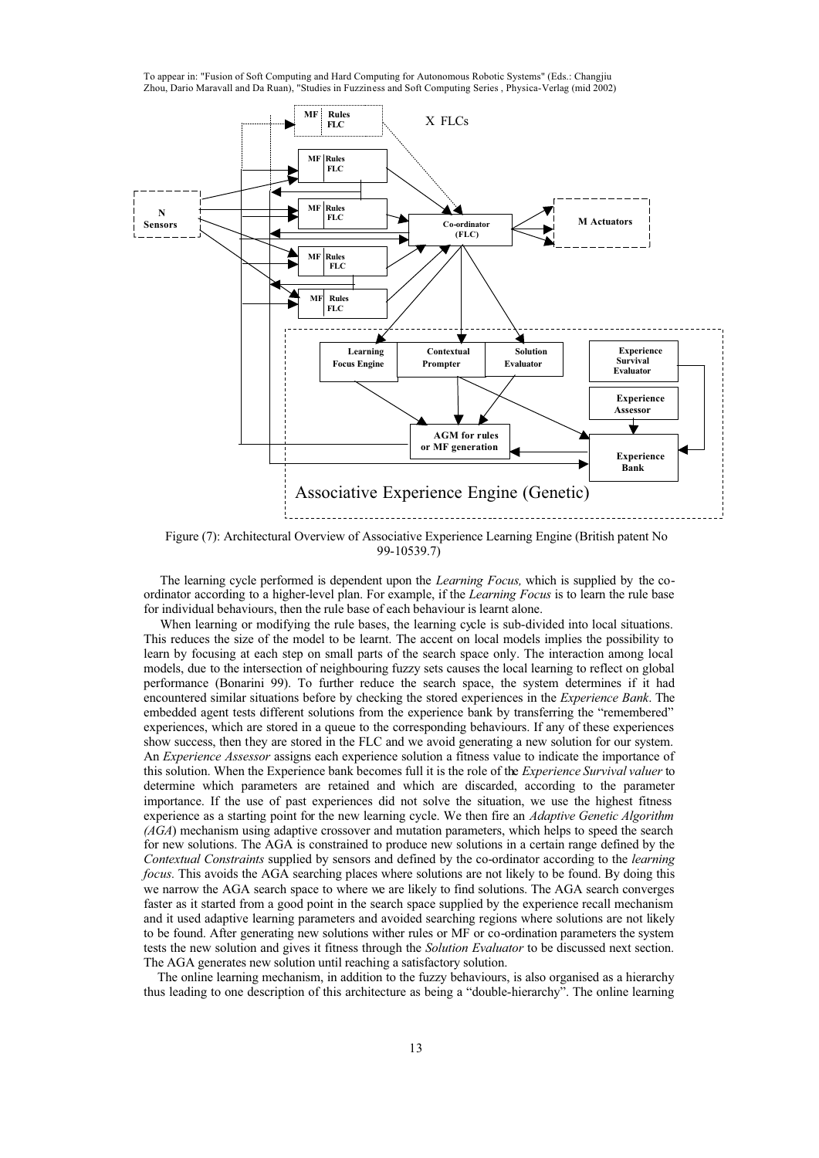

Figure (7): Architectural Overview of Associative Experience Learning Engine (British patent No 99-10539.7)

 The learning cycle performed is dependent upon the *Learning Focus,* which is supplied by the coordinator according to a higher-level plan. For example, if the *Learning Focus* is to learn the rule base for individual behaviours, then the rule base of each behaviour is learnt alone.

 When learning or modifying the rule bases, the learning cycle is sub-divided into local situations. This reduces the size of the model to be learnt. The accent on local models implies the possibility to learn by focusing at each step on small parts of the search space only. The interaction among local models, due to the intersection of neighbouring fuzzy sets causes the local learning to reflect on global performance (Bonarini 99). To further reduce the search space, the system determines if it had encountered similar situations before by checking the stored experiences in the *Experience Bank*. The embedded agent tests different solutions from the experience bank by transferring the "remembered" experiences, which are stored in a queue to the corresponding behaviours. If any of these experiences show success, then they are stored in the FLC and we avoid generating a new solution for our system. An *Experience Assessor* assigns each experience solution a fitness value to indicate the importance of this solution. When the Experience bank becomes full it is the role of the *Experience Survival valuer* to determine which parameters are retained and which are discarded, according to the parameter importance. If the use of past experiences did not solve the situation, we use the highest fitness experience as a starting point for the new learning cycle. We then fire an *Adaptive Genetic Algorithm (AGA*) mechanism using adaptive crossover and mutation parameters, which helps to speed the search for new solutions. The AGA is constrained to produce new solutions in a certain range defined by the *Contextual Constraints* supplied by sensors and defined by the co-ordinator according to the *learning focus*. This avoids the AGA searching places where solutions are not likely to be found. By doing this we narrow the AGA search space to where we are likely to find solutions. The AGA search converges faster as it started from a good point in the search space supplied by the experience recall mechanism and it used adaptive learning parameters and avoided searching regions where solutions are not likely to be found. After generating new solutions wither rules or MF or co-ordination parameters the system tests the new solution and gives it fitness through the *Solution Evaluator* to be discussed next section. The AGA generates new solution until reaching a satisfactory solution.

 The online learning mechanism, in addition to the fuzzy behaviours, is also organised as a hierarchy thus leading to one description of this architecture as being a "double-hierarchy". The online learning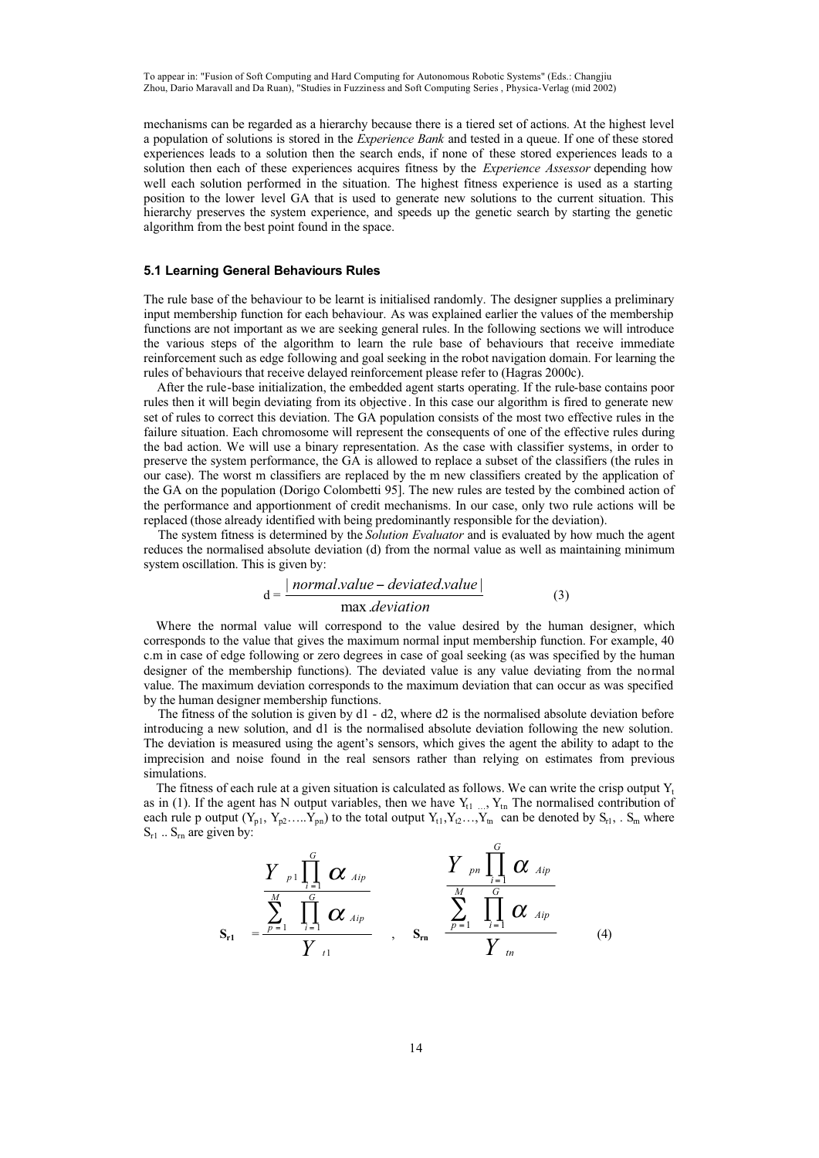mechanisms can be regarded as a hierarchy because there is a tiered set of actions. At the highest level a population of solutions is stored in the *Experience Bank* and tested in a queue. If one of these stored experiences leads to a solution then the search ends, if none of these stored experiences leads to a solution then each of these experiences acquires fitness by the *Experience Assessor* depending how well each solution performed in the situation. The highest fitness experience is used as a starting position to the lower level GA that is used to generate new solutions to the current situation. This hierarchy preserves the system experience, and speeds up the genetic search by starting the genetic algorithm from the best point found in the space.

#### **5.1 Learning General Behaviours Rules**

The rule base of the behaviour to be learnt is initialised randomly. The designer supplies a preliminary input membership function for each behaviour. As was explained earlier the values of the membership functions are not important as we are seeking general rules. In the following sections we will introduce the various steps of the algorithm to learn the rule base of behaviours that receive immediate reinforcement such as edge following and goal seeking in the robot navigation domain. For learning the rules of behaviours that receive delayed reinforcement please refer to (Hagras 2000c).

 After the rule-base initialization, the embedded agent starts operating. If the rule-base contains poor rules then it will begin deviating from its objective. In this case our algorithm is fired to generate new set of rules to correct this deviation. The GA population consists of the most two effective rules in the failure situation. Each chromosome will represent the consequents of one of the effective rules during the bad action. We will use a binary representation. As the case with classifier systems, in order to preserve the system performance, the GA is allowed to replace a subset of the classifiers (the rules in our case). The worst m classifiers are replaced by the m new classifiers created by the application of the GA on the population (Dorigo Colombetti 95]. The new rules are tested by the combined action of the performance and apportionment of credit mechanisms. In our case, only two rule actions will be replaced (those already identified with being predominantly responsible for the deviation).

 The system fitness is determined by the *Solution Evaluator* and is evaluated by how much the agent reduces the normalised absolute deviation (d) from the normal value as well as maintaining minimum system oscillation. This is given by:

$$
d = \frac{|\text{normal}.\text{value} - \text{deviated}.\text{value}|}{\text{max}.deviation} \tag{3}
$$

Where the normal value will correspond to the value desired by the human designer, which corresponds to the value that gives the maximum normal input membership function. For example, 40 c.m in case of edge following or zero degrees in case of goal seeking (as was specified by the human designer of the membership functions). The deviated value is any value deviating from the normal value. The maximum deviation corresponds to the maximum deviation that can occur as was specified by the human designer membership functions.

 The fitness of the solution is given by d1 - d2, where d2 is the normalised absolute deviation before introducing a new solution, and d1 is the normalised absolute deviation following the new solution. The deviation is measured using the agent's sensors, which gives the agent the ability to adapt to the imprecision and noise found in the real sensors rather than relying on estimates from previous simulations.

The fitness of each rule at a given situation is calculated as follows. We can write the crisp output  $Y_t$ as in (1). If the agent has N output variables, then we have  $Y_{t1}$  ...,  $Y_{tn}$  The normalised contribution of each rule p output  $(Y_{p1}, Y_{p2},..., Y_{pn})$  to the total output  $Y_{t1}, Y_{t2},..., Y_{tn}$  can be denoted by  $S_{r1}$ , .  $S_m$  where  $S_{r1}$  ..  $S_{rn}$  are given by:

$$
\mathbf{S}_{\mathbf{r1}} = \frac{\sum_{p=1}^{M} \prod_{i=1}^{G} \alpha_{Aip}}{Y_{t1}} \qquad \qquad \sum_{p=1}^{M} \prod_{i=1}^{G} \alpha_{Aip}} \qquad \qquad \sum_{p=1}^{M} \prod_{i=1}^{G} \alpha_{Aip}}{Y_{tn}} \qquad (4)
$$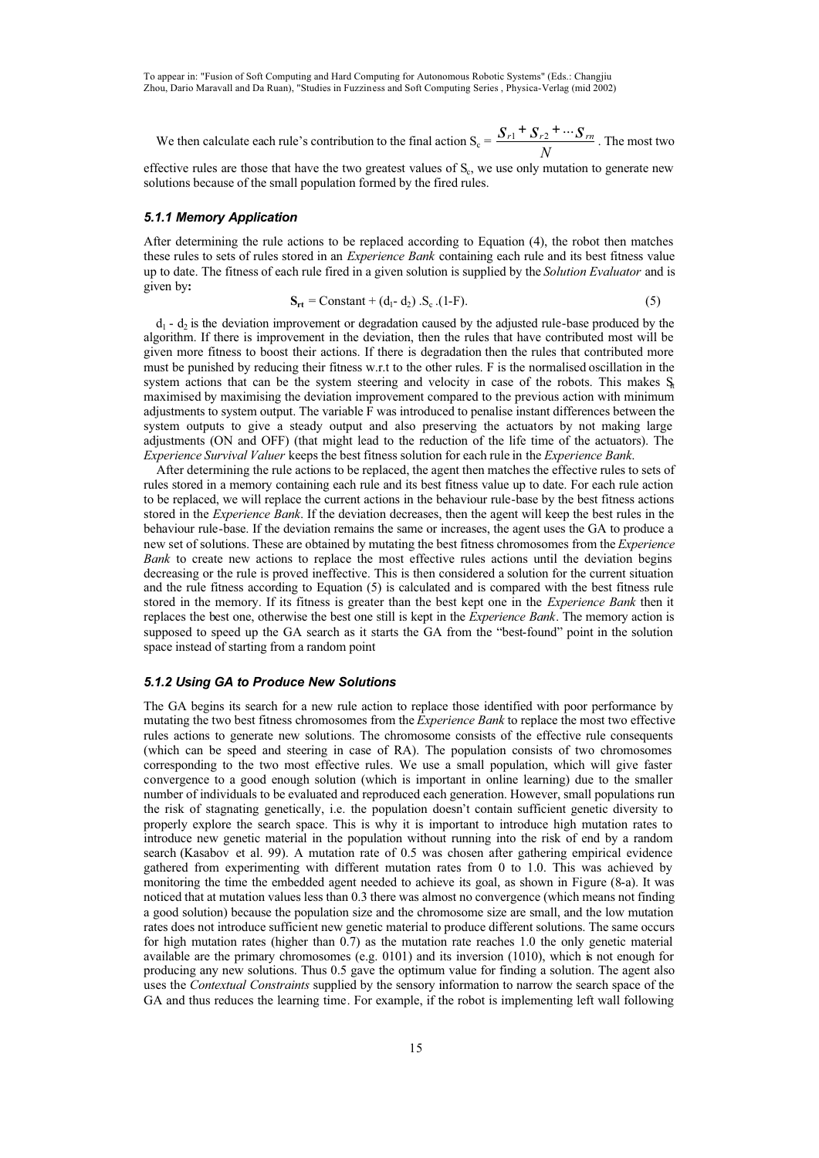We then calculate each rule's contribution to the final action  $S_c = \frac{B_r r_1 - B_r r_2}{N}$  $S_{r1}$ <sup>+</sup>  $S_{r2}$ <sup>+</sup>  $\cdots$   $S_{rn}$ . The most two

effective rules are those that have the two greatest values of  $S_c$ , we use only mutation to generate new solutions because of the small population formed by the fired rules.

#### *5.1.1 Memory Application*

After determining the rule actions to be replaced according to Equation (4), the robot then matches these rules to sets of rules stored in an *Experience Bank* containing each rule and its best fitness value up to date. The fitness of each rule fired in a given solution is supplied by the *Solution Evaluator* and is given by**:**

$$
\mathbf{S}_{\mathbf{r}\mathbf{t}} = \text{Constant} + (\mathbf{d}_1 - \mathbf{d}_2) \cdot \mathbf{S}_{\rm c} \cdot (1 - \mathbf{F}). \tag{5}
$$

 $d_1$  -  $d_2$  is the deviation improvement or degradation caused by the adjusted rule-base produced by the algorithm. If there is improvement in the deviation, then the rules that have contributed most will be given more fitness to boost their actions. If there is degradation then the rules that contributed more must be punished by reducing their fitness w.r.t to the other rules. F is the normalised oscillation in the system actions that can be the system steering and velocity in case of the robots. This makes  $S_n$ maximised by maximising the deviation improvement compared to the previous action with minimum adjustments to system output. The variable F was introduced to penalise instant differences between the system outputs to give a steady output and also preserving the actuators by not making large adjustments (ON and OFF) (that might lead to the reduction of the life time of the actuators). The *Experience Survival Valuer* keeps the best fitness solution for each rule in the *Experience Bank*.

 After determining the rule actions to be replaced, the agent then matches the effective rules to sets of rules stored in a memory containing each rule and its best fitness value up to date. For each rule action to be replaced, we will replace the current actions in the behaviour rule-base by the best fitness actions stored in the *Experience Bank*. If the deviation decreases, then the agent will keep the best rules in the behaviour rule-base. If the deviation remains the same or increases, the agent uses the GA to produce a new set of solutions. These are obtained by mutating the best fitness chromosomes from the *Experience Bank* to create new actions to replace the most effective rules actions until the deviation begins decreasing or the rule is proved ineffective. This is then considered a solution for the current situation and the rule fitness according to Equation (5) is calculated and is compared with the best fitness rule stored in the memory. If its fitness is greater than the best kept one in the *Experience Bank* then it replaces the best one, otherwise the best one still is kept in the *Experience Bank*. The memory action is supposed to speed up the GA search as it starts the GA from the "best-found" point in the solution space instead of starting from a random point

#### *5.1.2 Using GA to Produce New Solutions*

The GA begins its search for a new rule action to replace those identified with poor performance by mutating the two best fitness chromosomes from the *Experience Bank* to replace the most two effective rules actions to generate new solutions. The chromosome consists of the effective rule consequents (which can be speed and steering in case of RA). The population consists of two chromosomes corresponding to the two most effective rules. We use a small population, which will give faster convergence to a good enough solution (which is important in online learning) due to the smaller number of individuals to be evaluated and reproduced each generation. However, small populations run the risk of stagnating genetically, i.e. the population doesn't contain sufficient genetic diversity to properly explore the search space. This is why it is important to introduce high mutation rates to introduce new genetic material in the population without running into the risk of end by a random search (Kasabov et al. 99). A mutation rate of 0.5 was chosen after gathering empirical evidence gathered from experimenting with different mutation rates from 0 to 1.0. This was achieved by monitoring the time the embedded agent needed to achieve its goal, as shown in Figure (8-a). It was noticed that at mutation values less than 0.3 there was almost no convergence (which means not finding a good solution) because the population size and the chromosome size are small, and the low mutation rates does not introduce sufficient new genetic material to produce different solutions. The same occurs for high mutation rates (higher than 0.7) as the mutation rate reaches 1.0 the only genetic material available are the primary chromosomes (e.g. 0101) and its inversion (1010), which is not enough for producing any new solutions. Thus 0.5 gave the optimum value for finding a solution. The agent also uses the *Contextual Constraints* supplied by the sensory information to narrow the search space of the GA and thus reduces the learning time. For example, if the robot is implementing left wall following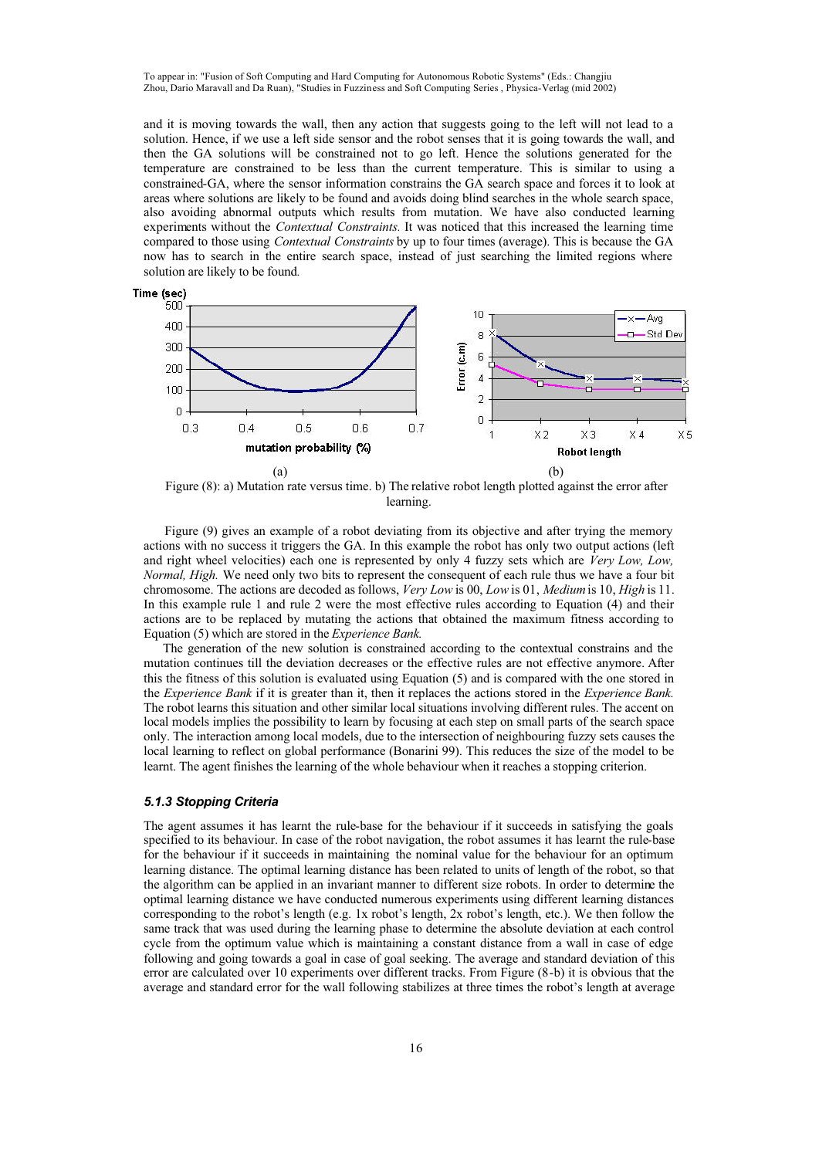and it is moving towards the wall, then any action that suggests going to the left will not lead to a solution. Hence, if we use a left side sensor and the robot senses that it is going towards the wall, and then the GA solutions will be constrained not to go left. Hence the solutions generated for the temperature are constrained to be less than the current temperature. This is similar to using a constrained-GA, where the sensor information constrains the GA search space and forces it to look at areas where solutions are likely to be found and avoids doing blind searches in the whole search space, also avoiding abnormal outputs which results from mutation. We have also conducted learning experiments without the *Contextual Constraints.* It was noticed that this increased the learning time compared to those using *Contextual Constraints* by up to four times (average). This is because the GA now has to search in the entire search space, instead of just searching the limited regions where solution are likely to be found*.*



Figure (8): a) Mutation rate versus time. b) The relative robot length plotted against the error after learning.

 Figure (9) gives an example of a robot deviating from its objective and after trying the memory actions with no success it triggers the GA. In this example the robot has only two output actions (left and right wheel velocities) each one is represented by only 4 fuzzy sets which are *Very Low, Low, Normal, High.* We need only two bits to represent the consequent of each rule thus we have a four bit chromosome. The actions are decoded as follows, *Very Low* is 00, *Low* is 01, *Medium* is 10, *High* is 11. In this example rule 1 and rule 2 were the most effective rules according to Equation (4) and their actions are to be replaced by mutating the actions that obtained the maximum fitness according to Equation (5) which are stored in the *Experience Bank.*

 The generation of the new solution is constrained according to the contextual constrains and the mutation continues till the deviation decreases or the effective rules are not effective anymore. After this the fitness of this solution is evaluated using Equation (5) and is compared with the one stored in the *Experience Bank* if it is greater than it, then it replaces the actions stored in the *Experience Bank.*  The robot learns this situation and other similar local situations involving different rules. The accent on local models implies the possibility to learn by focusing at each step on small parts of the search space only. The interaction among local models, due to the intersection of neighbouring fuzzy sets causes the local learning to reflect on global performance (Bonarini 99). This reduces the size of the model to be learnt. The agent finishes the learning of the whole behaviour when it reaches a stopping criterion.

#### *5.1.3 Stopping Criteria*

The agent assumes it has learnt the rule-base for the behaviour if it succeeds in satisfying the goals specified to its behaviour. In case of the robot navigation, the robot assumes it has learnt the rule-base for the behaviour if it succeeds in maintaining the nominal value for the behaviour for an optimum learning distance. The optimal learning distance has been related to units of length of the robot, so that the algorithm can be applied in an invariant manner to different size robots. In order to determine the optimal learning distance we have conducted numerous experiments using different learning distances corresponding to the robot's length (e.g. 1x robot's length, 2x robot's length, etc.). We then follow the same track that was used during the learning phase to determine the absolute deviation at each control cycle from the optimum value which is maintaining a constant distance from a wall in case of edge following and going towards a goal in case of goal seeking. The average and standard deviation of this error are calculated over 10 experiments over different tracks. From Figure (8-b) it is obvious that the average and standard error for the wall following stabilizes at three times the robot's length at average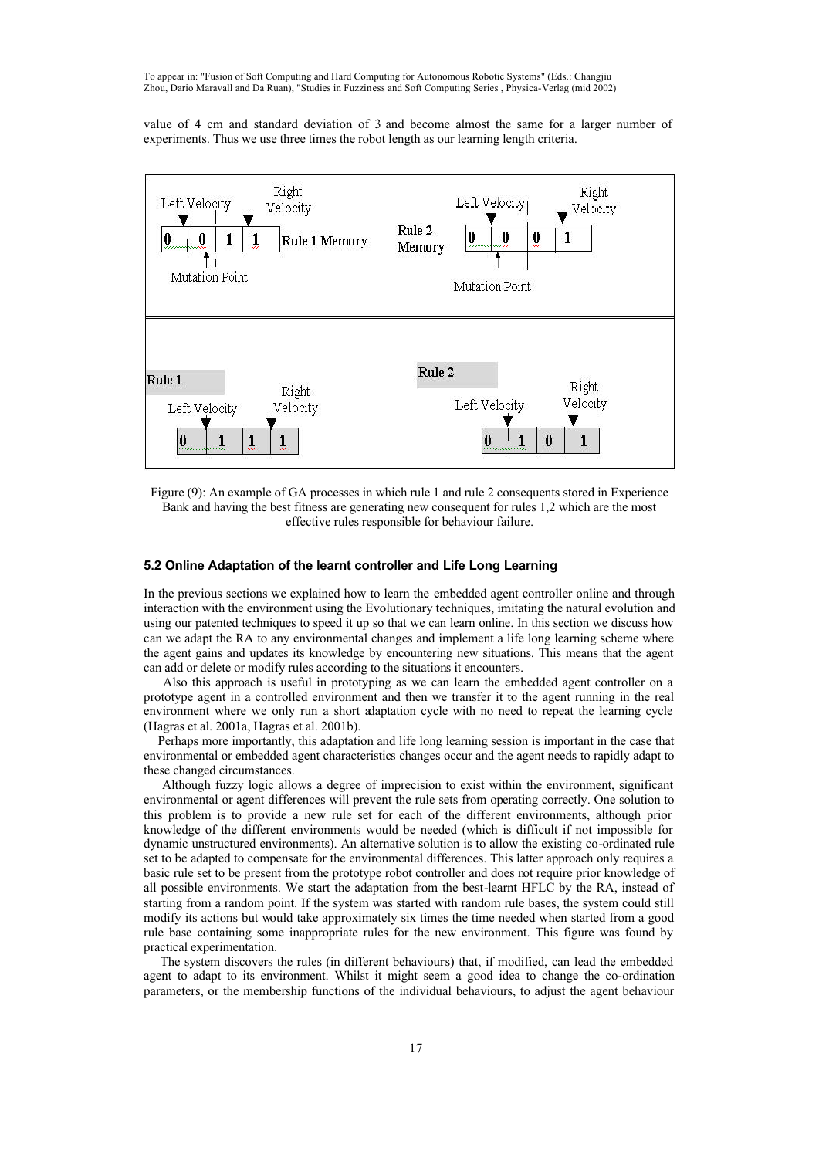value of 4 cm and standard deviation of 3 and become almost the same for a larger number of experiments. Thus we use three times the robot length as our learning length criteria.



Figure (9): An example of GA processes in which rule 1 and rule 2 consequents stored in Experience Bank and having the best fitness are generating new consequent for rules 1,2 which are the most effective rules responsible for behaviour failure.

#### **5.2 Online Adaptation of the learnt controller and Life Long Learning**

In the previous sections we explained how to learn the embedded agent controller online and through interaction with the environment using the Evolutionary techniques, imitating the natural evolution and using our patented techniques to speed it up so that we can learn online. In this section we discuss how can we adapt the RA to any environmental changes and implement a life long learning scheme where the agent gains and updates its knowledge by encountering new situations. This means that the agent can add or delete or modify rules according to the situations it encounters.

 Also this approach is useful in prototyping as we can learn the embedded agent controller on a prototype agent in a controlled environment and then we transfer it to the agent running in the real environment where we only run a short adaptation cycle with no need to repeat the learning cycle (Hagras et al. 2001a, Hagras et al. 2001b).

 Perhaps more importantly, this adaptation and life long learning session is important in the case that environmental or embedded agent characteristics changes occur and the agent needs to rapidly adapt to these changed circumstances.

 Although fuzzy logic allows a degree of imprecision to exist within the environment, significant environmental or agent differences will prevent the rule sets from operating correctly. One solution to this problem is to provide a new rule set for each of the different environments, although prior knowledge of the different environments would be needed (which is difficult if not impossible for dynamic unstructured environments). An alternative solution is to allow the existing co-ordinated rule set to be adapted to compensate for the environmental differences. This latter approach only requires a basic rule set to be present from the prototype robot controller and does not require prior knowledge of all possible environments. We start the adaptation from the best-learnt HFLC by the RA, instead of starting from a random point. If the system was started with random rule bases, the system could still modify its actions but would take approximately six times the time needed when started from a good rule base containing some inappropriate rules for the new environment. This figure was found by practical experimentation.

 The system discovers the rules (in different behaviours) that, if modified, can lead the embedded agent to adapt to its environment. Whilst it might seem a good idea to change the co-ordination parameters, or the membership functions of the individual behaviours, to adjust the agent behaviour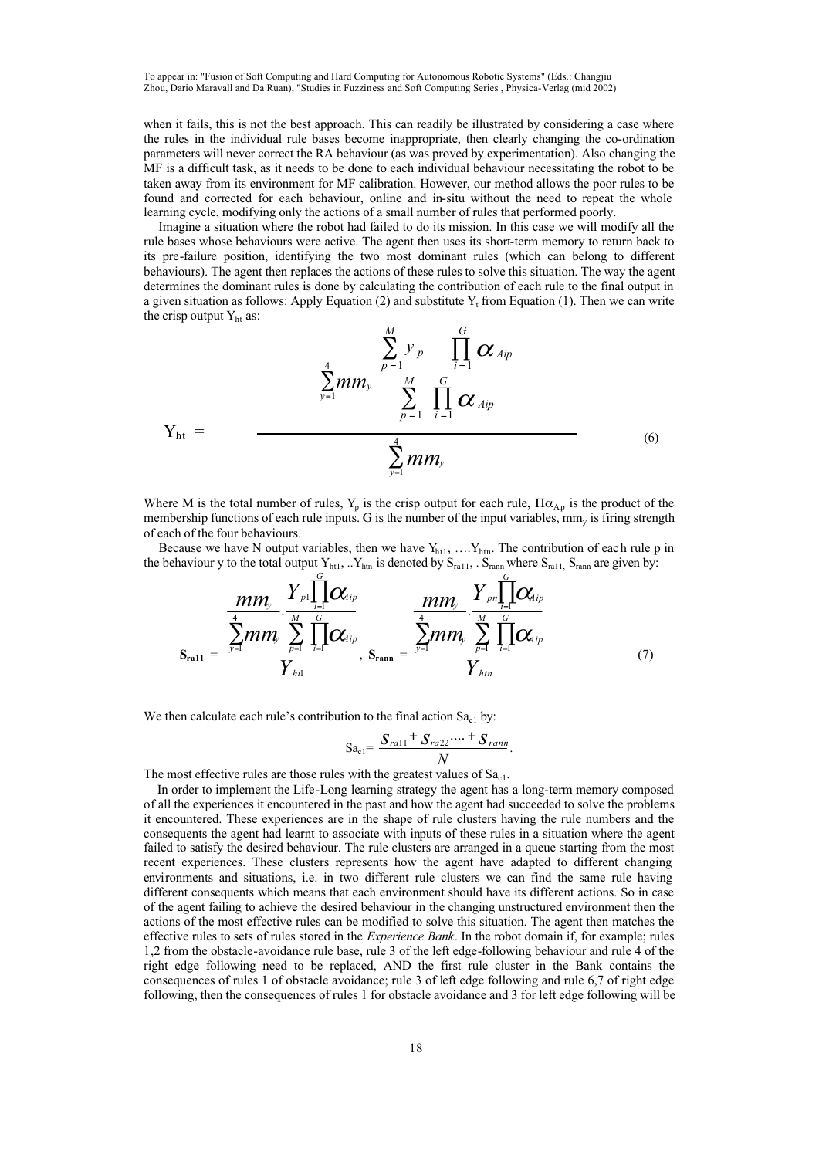when it fails, this is not the best approach. This can readily be illustrated by considering a case where the rules in the individual rule bases become inappropriate, then clearly changing the co-ordination parameters will never correct the RA behaviour (as was proved by experimentation). Also changing the MF is a difficult task, as it needs to be done to each individual behaviour necessitating the robot to be taken away from its environment for MF calibration. However, our method allows the poor rules to be found and corrected for each behaviour, online and in-situ without the need to repeat the whole learning cycle, modifying only the actions of a small number of rules that performed poorly.

 Imagine a situation where the robot had failed to do its mission. In this case we will modify all the rule bases whose behaviours were active. The agent then uses its short-term memory to return back to its pre-failure position, identifying the two most dominant rules (which can belong to different behaviours). The agent then replaces the actions of these rules to solve this situation. The way the agent determines the dominant rules is done by calculating the contribution of each rule to the final output in a given situation as follows: Apply Equation (2) and substitute  $Y_t$  from Equation (1). Then we can write the crisp output  $Y<sub>ht</sub>$  as:

$$
Y_{ht} = \frac{\sum_{y=1}^{4} y_{p} \prod_{i=1}^{G} \alpha_{Aip}}{\sum_{p=1}^{4} \prod_{i=1}^{M} \alpha_{Aip}}
$$
\n
$$
Y_{ht} = \frac{\sum_{y=1}^{4} mm_{y}}{m m_{y}}
$$
\n(6)

Where M is the total number of rules,  $Y_p$  is the crisp output for each rule,  $\Pi\alpha_{Aip}$  is the product of the membership functions of each rule inputs. G is the number of the input variables,  $mm_v$  is firing strength of each of the four behaviours.

Because we have N output variables, then we have  $Y_{\text{ht1}}$ , ...,  $Y_{\text{htn}}$ . The contribution of each rule p in the behaviour y to the total output  $Y_{\text{ht1}}$ , .. $Y_{\text{htn}}$  is denoted by  $S_{\text{rad1}}$ , .  $S_{\text{rann}}$  where  $S_{\text{rad1}}$ ,  $S_{\text{rann}}$  are given by:

$$
S_{\text{ral1}} = \frac{\frac{mm_y}{\sum_{y=1}^{4}mm_y} \cdot \frac{Y_{p1}\prod_{i=1}^{T} \alpha_{lip}}{Y_{h1}}}{Y_{h1}}, S_{\text{ram1}} = \frac{\frac{mm_y}{\sum_{y=1}^{4}mm_y} \cdot \frac{Y_{p1}\prod_{i=1}^{T} \alpha_{lip}}{Y_{h1}}}{Y_{h1}} \qquad (7)
$$

We then calculate each rule's contribution to the final action  $Sa<sub>c1</sub>$  by:

$$
Sa_{c1} = \frac{S_{ra11} + S_{ra22} \cdots + S_{rann}}{N}.
$$

The most effective rules are those rules with the greatest values of  $Sa<sub>c1</sub>$ .

 In order to implement the Life-Long learning strategy the agent has a long-term memory composed of all the experiences it encountered in the past and how the agent had succeeded to solve the problems it encountered. These experiences are in the shape of rule clusters having the rule numbers and the consequents the agent had learnt to associate with inputs of these rules in a situation where the agent failed to satisfy the desired behaviour. The rule clusters are arranged in a queue starting from the most recent experiences. These clusters represents how the agent have adapted to different changing environments and situations, i.e. in two different rule clusters we can find the same rule having different consequents which means that each environment should have its different actions. So in case of the agent failing to achieve the desired behaviour in the changing unstructured environment then the actions of the most effective rules can be modified to solve this situation. The agent then matches the effective rules to sets of rules stored in the *Experience Bank*. In the robot domain if, for example; rules 1,2 from the obstacle-avoidance rule base, rule 3 of the left edge-following behaviour and rule 4 of the right edge following need to be replaced, AND the first rule cluster in the Bank contains the consequences of rules 1 of obstacle avoidance; rule 3 of left edge following and rule 6,7 of right edge following, then the consequences of rules 1 for obstacle avoidance and 3 for left edge following will be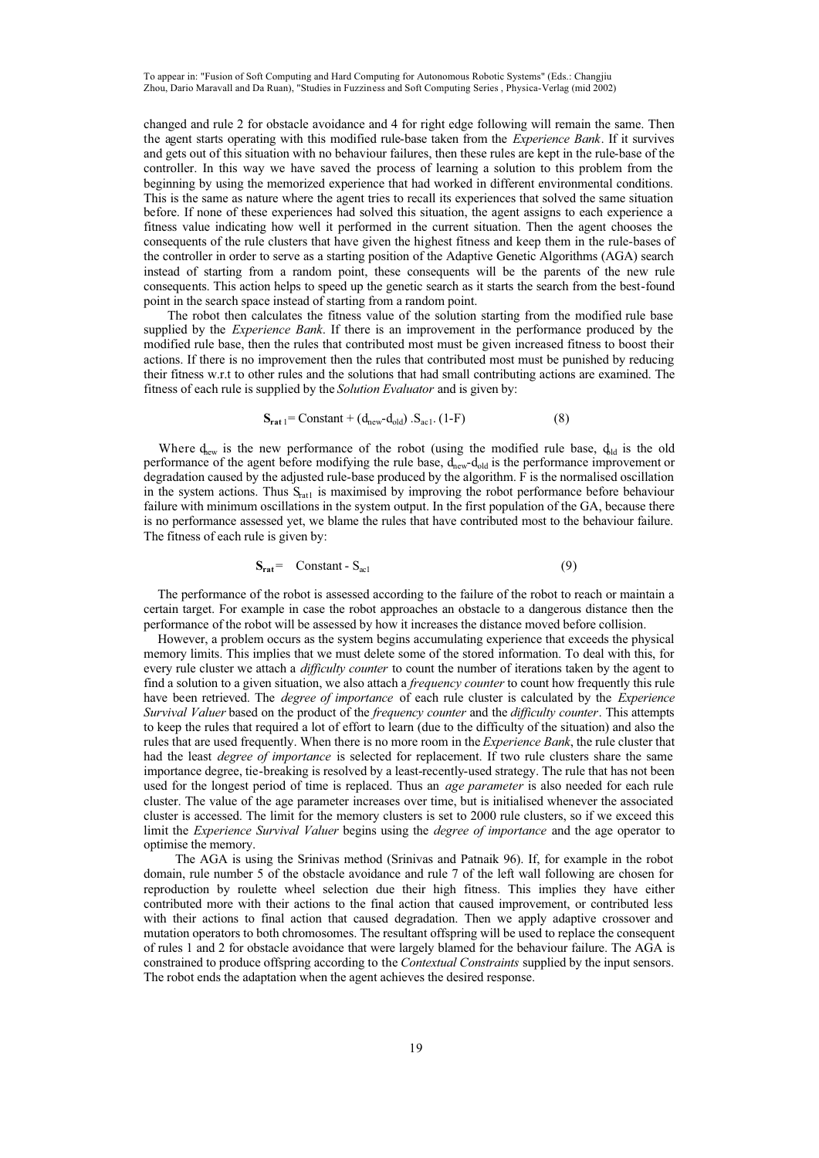changed and rule 2 for obstacle avoidance and 4 for right edge following will remain the same. Then the agent starts operating with this modified rule-base taken from the *Experience Bank*. If it survives and gets out of this situation with no behaviour failures, then these rules are kept in the rule-base of the controller. In this way we have saved the process of learning a solution to this problem from the beginning by using the memorized experience that had worked in different environmental conditions. This is the same as nature where the agent tries to recall its experiences that solved the same situation before. If none of these experiences had solved this situation, the agent assigns to each experience a fitness value indicating how well it performed in the current situation. Then the agent chooses the consequents of the rule clusters that have given the highest fitness and keep them in the rule-bases of the controller in order to serve as a starting position of the Adaptive Genetic Algorithms (AGA) search instead of starting from a random point, these consequents will be the parents of the new rule consequents. This action helps to speed up the genetic search as it starts the search from the best-found point in the search space instead of starting from a random point.

 The robot then calculates the fitness value of the solution starting from the modified rule base supplied by the *Experience Bank*. If there is an improvement in the performance produced by the modified rule base, then the rules that contributed most must be given increased fitness to boost their actions. If there is no improvement then the rules that contributed most must be punished by reducing their fitness w.r.t to other rules and the solutions that had small contributing actions are examined. The fitness of each rule is supplied by the *Solution Evaluator* and is given by:

$$
S_{rat 1} = Constant + (d_{new} - d_{old}) . S_{act} . (1 - F)
$$
 (8)

Where  $d_{new}$  is the new performance of the robot (using the modified rule base,  $d_{old}$  is the old performance of the agent before modifying the rule base,  $d_{new}$ - $d_{old}$  is the performance improvement or degradation caused by the adjusted rule-base produced by the algorithm. F is the normalised oscillation in the system actions. Thus  $S<sub>rat</sub>$  is maximised by improving the robot performance before behaviour failure with minimum oscillations in the system output. In the first population of the GA, because there is no performance assessed yet, we blame the rules that have contributed most to the behaviour failure. The fitness of each rule is given by:

$$
S_{rat} = \text{Constant} - S_{act} \tag{9}
$$

 The performance of the robot is assessed according to the failure of the robot to reach or maintain a certain target. For example in case the robot approaches an obstacle to a dangerous distance then the performance of the robot will be assessed by how it increases the distance moved before collision.

 However, a problem occurs as the system begins accumulating experience that exceeds the physical memory limits. This implies that we must delete some of the stored information. To deal with this, for every rule cluster we attach a *difficulty counter* to count the number of iterations taken by the agent to find a solution to a given situation, we also attach a *frequency counter* to count how frequently this rule have been retrieved. The *degree of importance* of each rule cluster is calculated by the *Experience Survival Valuer* based on the product of the *frequency counter* and the *difficulty counter*. This attempts to keep the rules that required a lot of effort to learn (due to the difficulty of the situation) and also the rules that are used frequently. When there is no more room in the *Experience Bank*, the rule cluster that had the least *degree of importance* is selected for replacement. If two rule clusters share the same importance degree, tie-breaking is resolved by a least-recently-used strategy. The rule that has not been used for the longest period of time is replaced. Thus an *age parameter* is also needed for each rule cluster. The value of the age parameter increases over time, but is initialised whenever the associated cluster is accessed. The limit for the memory clusters is set to 2000 rule clusters, so if we exceed this limit the *Experience Survival Valuer* begins using the *degree of importance* and the age operator to optimise the memory.

 The AGA is using the Srinivas method (Srinivas and Patnaik 96). If, for example in the robot domain, rule number 5 of the obstacle avoidance and rule 7 of the left wall following are chosen for reproduction by roulette wheel selection due their high fitness. This implies they have either contributed more with their actions to the final action that caused improvement, or contributed less with their actions to final action that caused degradation. Then we apply adaptive crossover and mutation operators to both chromosomes. The resultant offspring will be used to replace the consequent of rules 1 and 2 for obstacle avoidance that were largely blamed for the behaviour failure. The AGA is constrained to produce offspring according to the *Contextual Constraints* supplied by the input sensors. The robot ends the adaptation when the agent achieves the desired response.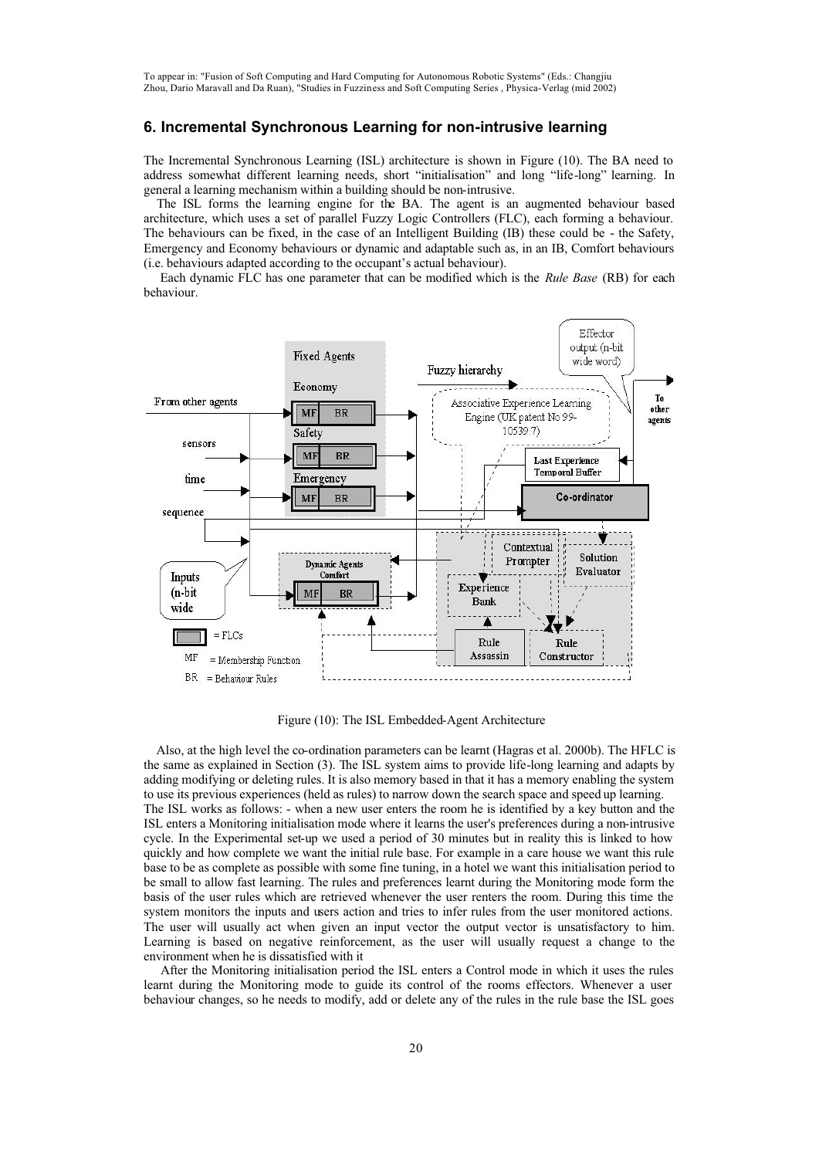# **6. Incremental Synchronous Learning for non-intrusive learning**

The Incremental Synchronous Learning (ISL) architecture is shown in Figure (10). The BA need to address somewhat different learning needs, short "initialisation" and long "life-long" learning. In general a learning mechanism within a building should be non-intrusive.

 The ISL forms the learning engine for the BA. The agent is an augmented behaviour based architecture, which uses a set of parallel Fuzzy Logic Controllers (FLC), each forming a behaviour. The behaviours can be fixed, in the case of an Intelligent Building (IB) these could be - the Safety, Emergency and Economy behaviours or dynamic and adaptable such as, in an IB, Comfort behaviours (i.e. behaviours adapted according to the occupant's actual behaviour).

 Each dynamic FLC has one parameter that can be modified which is the *Rule Base* (RB) for each behaviour.



Figure (10): The ISL Embedded-Agent Architecture

 Also, at the high level the co-ordination parameters can be learnt (Hagras et al. 2000b). The HFLC is the same as explained in Section (3). The ISL system aims to provide life-long learning and adapts by adding modifying or deleting rules. It is also memory based in that it has a memory enabling the system to use its previous experiences (held as rules) to narrow down the search space and speed up learning. The ISL works as follows: - when a new user enters the room he is identified by a key button and the ISL enters a Monitoring initialisation mode where it learns the user's preferences during a non-intrusive cycle. In the Experimental set-up we used a period of 30 minutes but in reality this is linked to how quickly and how complete we want the initial rule base. For example in a care house we want this rule base to be as complete as possible with some fine tuning, in a hotel we want this initialisation period to be small to allow fast learning. The rules and preferences learnt during the Monitoring mode form the basis of the user rules which are retrieved whenever the user renters the room. During this time the system monitors the inputs and users action and tries to infer rules from the user monitored actions. The user will usually act when given an input vector the output vector is unsatisfactory to him. Learning is based on negative reinforcement, as the user will usually request a change to the environment when he is dissatisfied with it

 After the Monitoring initialisation period the ISL enters a Control mode in which it uses the rules learnt during the Monitoring mode to guide its control of the rooms effectors. Whenever a user behaviour changes, so he needs to modify, add or delete any of the rules in the rule base the ISL goes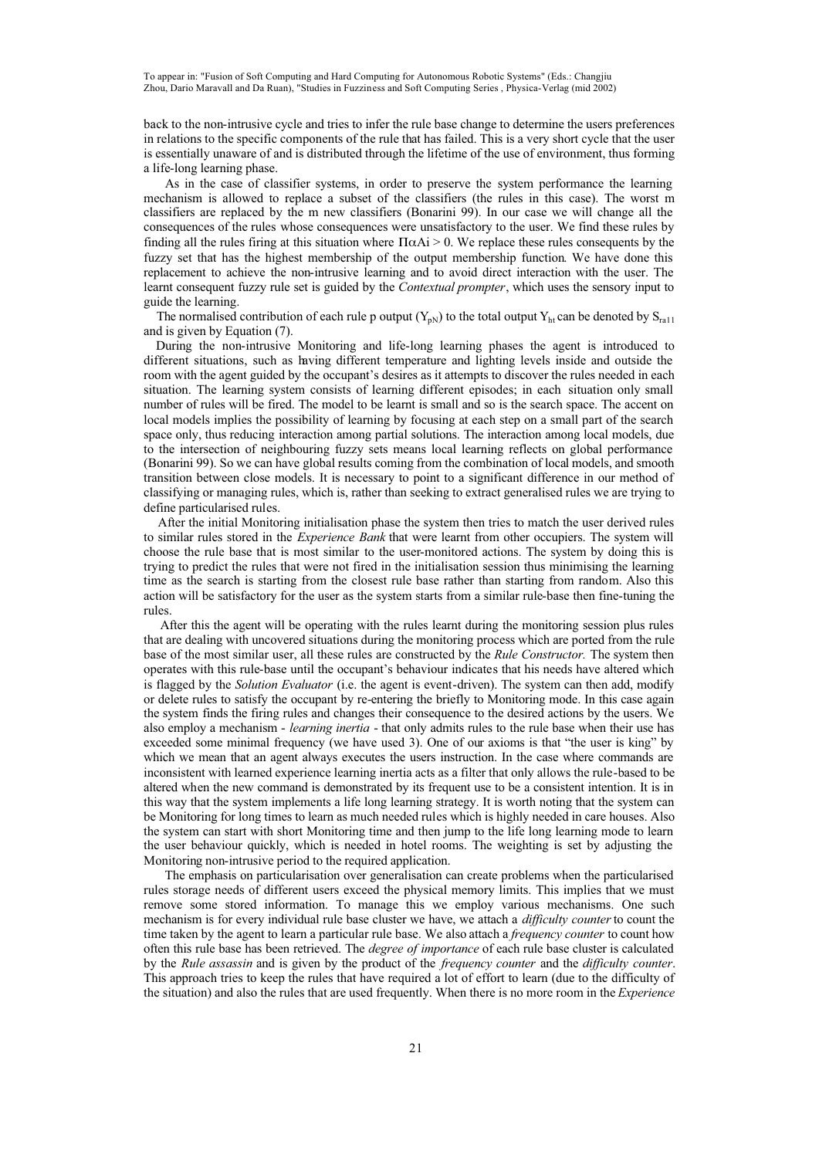back to the non-intrusive cycle and tries to infer the rule base change to determine the users preferences in relations to the specific components of the rule that has failed. This is a very short cycle that the user is essentially unaware of and is distributed through the lifetime of the use of environment, thus forming a life-long learning phase.

 As in the case of classifier systems, in order to preserve the system performance the learning mechanism is allowed to replace a subset of the classifiers (the rules in this case). The worst m classifiers are replaced by the m new classifiers (Bonarini 99). In our case we will change all the consequences of the rules whose consequences were unsatisfactory to the user. We find these rules by finding all the rules firing at this situation where  $\Pi \alpha A$  i > 0. We replace these rules consequents by the fuzzy set that has the highest membership of the output membership function. We have done this replacement to achieve the non-intrusive learning and to avoid direct interaction with the user. The learnt consequent fuzzy rule set is guided by the *Contextual prompter*, which uses the sensory input to guide the learning.

The normalised contribution of each rule p output ( $Y_{pN}$ ) to the total output  $Y_{ht}$  can be denoted by  $S_{r a 11}$ and is given by Equation (7).

 During the non-intrusive Monitoring and life-long learning phases the agent is introduced to different situations, such as having different temperature and lighting levels inside and outside the room with the agent guided by the occupant's desires as it attempts to discover the rules needed in each situation. The learning system consists of learning different episodes; in each situation only small number of rules will be fired. The model to be learnt is small and so is the search space. The accent on local models implies the possibility of learning by focusing at each step on a small part of the search space only, thus reducing interaction among partial solutions. The interaction among local models, due to the intersection of neighbouring fuzzy sets means local learning reflects on global performance (Bonarini 99). So we can have global results coming from the combination of local models, and smooth transition between close models. It is necessary to point to a significant difference in our method of classifying or managing rules, which is, rather than seeking to extract generalised rules we are trying to define particularised rules.

 After the initial Monitoring initialisation phase the system then tries to match the user derived rules to similar rules stored in the *Experience Bank* that were learnt from other occupiers. The system will choose the rule base that is most similar to the user-monitored actions. The system by doing this is trying to predict the rules that were not fired in the initialisation session thus minimising the learning time as the search is starting from the closest rule base rather than starting from random. Also this action will be satisfactory for the user as the system starts from a similar rule-base then fine-tuning the rules.

 After this the agent will be operating with the rules learnt during the monitoring session plus rules that are dealing with uncovered situations during the monitoring process which are ported from the rule base of the most similar user, all these rules are constructed by the *Rule Constructor.* The system then operates with this rule-base until the occupant's behaviour indicates that his needs have altered which is flagged by the *Solution Evaluator* (i.e. the agent is event-driven). The system can then add, modify or delete rules to satisfy the occupant by re-entering the briefly to Monitoring mode. In this case again the system finds the firing rules and changes their consequence to the desired actions by the users. We also employ a mechanism - *learning inertia* - that only admits rules to the rule base when their use has exceeded some minimal frequency (we have used 3). One of our axioms is that "the user is king" by which we mean that an agent always executes the users instruction. In the case where commands are inconsistent with learned experience learning inertia acts as a filter that only allows the rule-based to be altered when the new command is demonstrated by its frequent use to be a consistent intention. It is in this way that the system implements a life long learning strategy. It is worth noting that the system can be Monitoring for long times to learn as much needed rules which is highly needed in care houses. Also the system can start with short Monitoring time and then jump to the life long learning mode to learn the user behaviour quickly, which is needed in hotel rooms. The weighting is set by adjusting the Monitoring non-intrusive period to the required application.

 The emphasis on particularisation over generalisation can create problems when the particularised rules storage needs of different users exceed the physical memory limits. This implies that we must remove some stored information. To manage this we employ various mechanisms. One such mechanism is for every individual rule base cluster we have, we attach a *difficulty counter* to count the time taken by the agent to learn a particular rule base. We also attach a *frequency counter* to count how often this rule base has been retrieved. The *degree of importance* of each rule base cluster is calculated by the *Rule assassin* and is given by the product of the *frequency counter* and the *difficulty counter*. This approach tries to keep the rules that have required a lot of effort to learn (due to the difficulty of the situation) and also the rules that are used frequently. When there is no more room in the *Experience*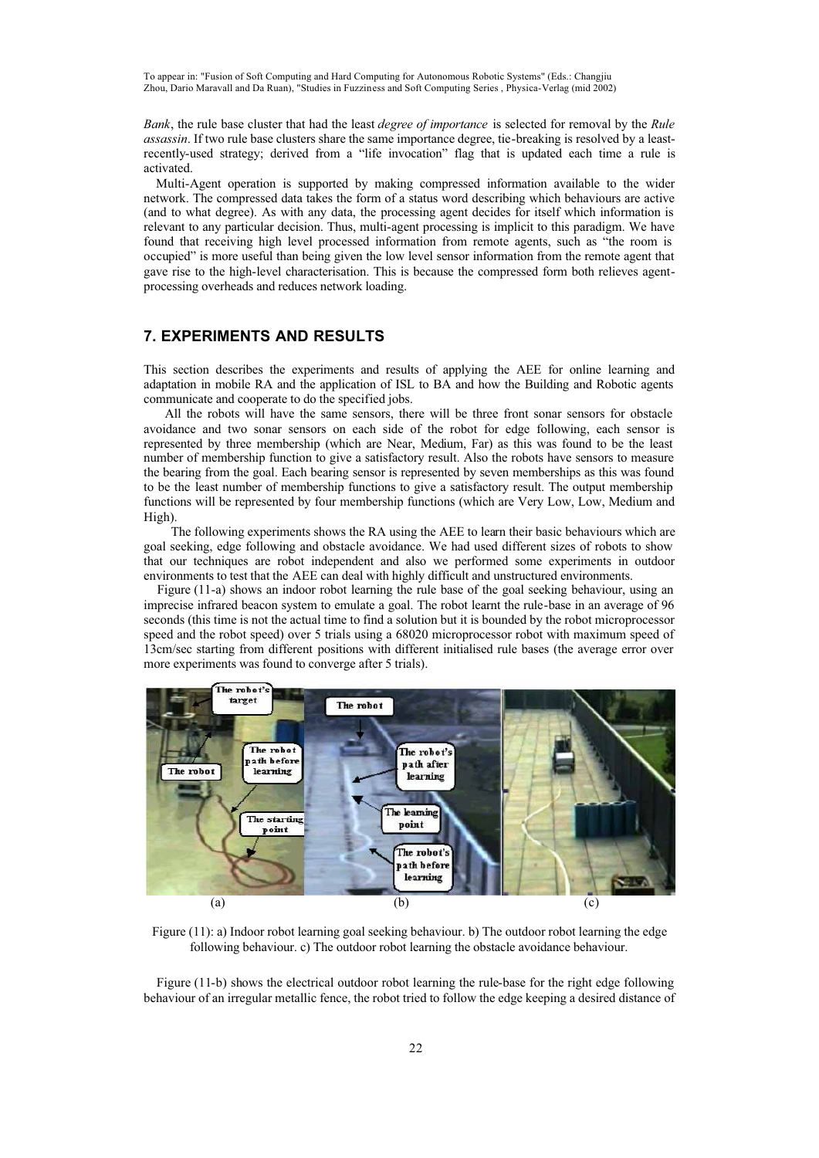*Bank*, the rule base cluster that had the least *degree of importance* is selected for removal by the *Rule assassin*. If two rule base clusters share the same importance degree, tie-breaking is resolved by a leastrecently-used strategy; derived from a "life invocation" flag that is updated each time a rule is activated.

 Multi-Agent operation is supported by making compressed information available to the wider network. The compressed data takes the form of a status word describing which behaviours are active (and to what degree). As with any data, the processing agent decides for itself which information is relevant to any particular decision. Thus, multi-agent processing is implicit to this paradigm. We have found that receiving high level processed information from remote agents, such as "the room is occupied" is more useful than being given the low level sensor information from the remote agent that gave rise to the high-level characterisation. This is because the compressed form both relieves agentprocessing overheads and reduces network loading.

# **7. EXPERIMENTS AND RESULTS**

This section describes the experiments and results of applying the AEE for online learning and adaptation in mobile RA and the application of ISL to BA and how the Building and Robotic agents communicate and cooperate to do the specified jobs.

 All the robots will have the same sensors, there will be three front sonar sensors for obstacle avoidance and two sonar sensors on each side of the robot for edge following, each sensor is represented by three membership (which are Near, Medium, Far) as this was found to be the least number of membership function to give a satisfactory result. Also the robots have sensors to measure the bearing from the goal. Each bearing sensor is represented by seven memberships as this was found to be the least number of membership functions to give a satisfactory result. The output membership functions will be represented by four membership functions (which are Very Low, Low, Medium and High).

 The following experiments shows the RA using the AEE to learn their basic behaviours which are goal seeking, edge following and obstacle avoidance. We had used different sizes of robots to show that our techniques are robot independent and also we performed some experiments in outdoor environments to test that the AEE can deal with highly difficult and unstructured environments.

 Figure (11-a) shows an indoor robot learning the rule base of the goal seeking behaviour, using an imprecise infrared beacon system to emulate a goal. The robot learnt the rule-base in an average of 96 seconds (this time is not the actual time to find a solution but it is bounded by the robot microprocessor speed and the robot speed) over 5 trials using a 68020 microprocessor robot with maximum speed of 13cm/sec starting from different positions with different initialised rule bases (the average error over more experiments was found to converge after 5 trials).



Figure (11): a) Indoor robot learning goal seeking behaviour. b) The outdoor robot learning the edge following behaviour. c) The outdoor robot learning the obstacle avoidance behaviour.

 Figure (11-b) shows the electrical outdoor robot learning the rule-base for the right edge following behaviour of an irregular metallic fence, the robot tried to follow the edge keeping a desired distance of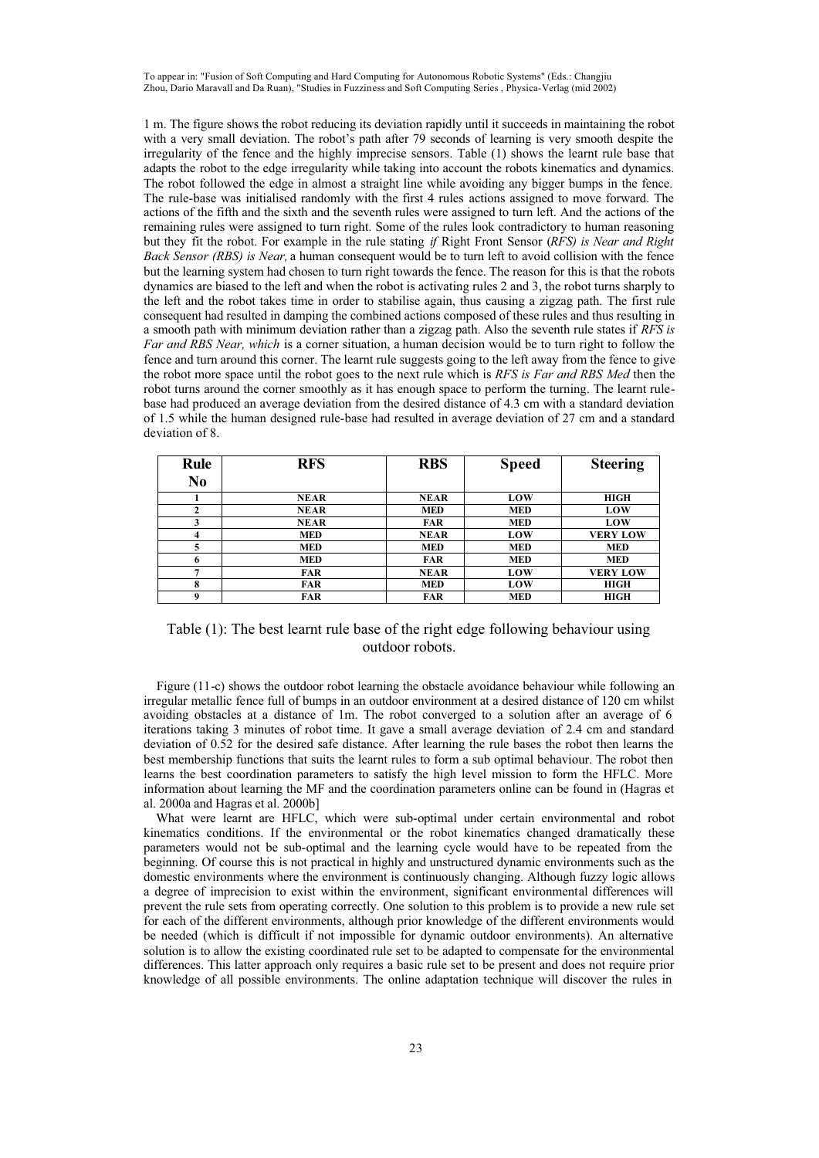1 m. The figure shows the robot reducing its deviation rapidly until it succeeds in maintaining the robot with a very small deviation. The robot's path after 79 seconds of learning is very smooth despite the irregularity of the fence and the highly imprecise sensors. Table (1) shows the learnt rule base that adapts the robot to the edge irregularity while taking into account the robots kinematics and dynamics. The robot followed the edge in almost a straight line while avoiding any bigger bumps in the fence. The rule-base was initialised randomly with the first 4 rules actions assigned to move forward. The actions of the fifth and the sixth and the seventh rules were assigned to turn left. And the actions of the remaining rules were assigned to turn right. Some of the rules look contradictory to human reasoning but they fit the robot. For example in the rule stating *if* Right Front Sensor (*RFS) is Near and Right Back Sensor (RBS) is Near,* a human consequent would be to turn left to avoid collision with the fence but the learning system had chosen to turn right towards the fence. The reason for this is that the robots dynamics are biased to the left and when the robot is activating rules 2 and 3, the robot turns sharply to the left and the robot takes time in order to stabilise again, thus causing a zigzag path. The first rule consequent had resulted in damping the combined actions composed of these rules and thus resulting in a smooth path with minimum deviation rather than a zigzag path. Also the seventh rule states if *RFS is Far and RBS Near, which* is a corner situation, a human decision would be to turn right to follow the fence and turn around this corner. The learnt rule suggests going to the left away from the fence to give the robot more space until the robot goes to the next rule which is *RFS is Far and RBS Med* then the robot turns around the corner smoothly as it has enough space to perform the turning. The learnt rulebase had produced an average deviation from the desired distance of 4.3 cm with a standard deviation of 1.5 while the human designed rule-base had resulted in average deviation of 27 cm and a standard deviation of 8.

| <b>Rule</b>    | <b>RFS</b>  | <b>RBS</b>  | <b>Speed</b> | <b>Steering</b> |
|----------------|-------------|-------------|--------------|-----------------|
| N <sub>0</sub> |             |             |              |                 |
|                | <b>NEAR</b> | <b>NEAR</b> | LOW          | <b>HIGH</b>     |
|                | <b>NEAR</b> | <b>MED</b>  | <b>MED</b>   | LOW             |
| 3              | <b>NEAR</b> | <b>FAR</b>  | <b>MED</b>   | LOW             |
|                | MED         | <b>NEAR</b> | LOW          | <b>VERY LOW</b> |
|                | MED         | <b>MED</b>  | <b>MED</b>   | <b>MED</b>      |
| 6              | <b>MED</b>  | <b>FAR</b>  | <b>MED</b>   | <b>MED</b>      |
| −              | <b>FAR</b>  | <b>NEAR</b> | LOW          | <b>VERY LOW</b> |
| 8              | <b>FAR</b>  | <b>MED</b>  | LOW          | <b>HIGH</b>     |
| Q              | <b>FAR</b>  | <b>FAR</b>  | <b>MED</b>   | <b>HIGH</b>     |

# Table (1): The best learnt rule base of the right edge following behaviour using outdoor robots.

 Figure (11-c) shows the outdoor robot learning the obstacle avoidance behaviour while following an irregular metallic fence full of bumps in an outdoor environment at a desired distance of 120 cm whilst avoiding obstacles at a distance of 1m. The robot converged to a solution after an average of 6 iterations taking 3 minutes of robot time. It gave a small average deviation of 2.4 cm and standard deviation of 0.52 for the desired safe distance. After learning the rule bases the robot then learns the best membership functions that suits the learnt rules to form a sub optimal behaviour. The robot then learns the best coordination parameters to satisfy the high level mission to form the HFLC. More information about learning the MF and the coordination parameters online can be found in (Hagras et al. 2000a and Hagras et al. 2000b]

What were learnt are HFLC, which were sub-optimal under certain environmental and robot kinematics conditions. If the environmental or the robot kinematics changed dramatically these parameters would not be sub-optimal and the learning cycle would have to be repeated from the beginning. Of course this is not practical in highly and unstructured dynamic environments such as the domestic environments where the environment is continuously changing. Although fuzzy logic allows a degree of imprecision to exist within the environment, significant environmental differences will prevent the rule sets from operating correctly. One solution to this problem is to provide a new rule set for each of the different environments, although prior knowledge of the different environments would be needed (which is difficult if not impossible for dynamic outdoor environments). An alternative solution is to allow the existing coordinated rule set to be adapted to compensate for the environmental differences. This latter approach only requires a basic rule set to be present and does not require prior knowledge of all possible environments. The online adaptation technique will discover the rules in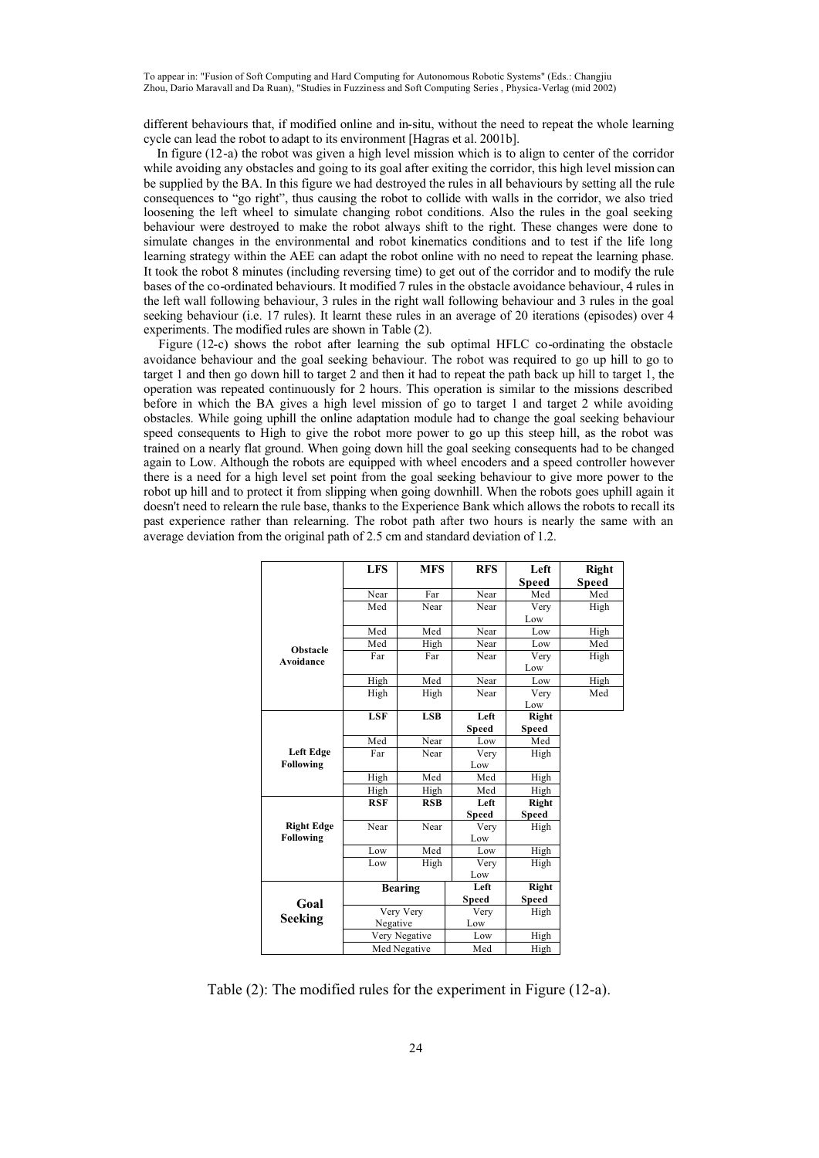different behaviours that, if modified online and in-situ, without the need to repeat the whole learning cycle can lead the robot to adapt to its environment [Hagras et al. 2001b].

 In figure (12-a) the robot was given a high level mission which is to align to center of the corridor while avoiding any obstacles and going to its goal after exiting the corridor, this high level mission can be supplied by the BA. In this figure we had destroyed the rules in all behaviours by setting all the rule consequences to "go right", thus causing the robot to collide with walls in the corridor, we also tried loosening the left wheel to simulate changing robot conditions. Also the rules in the goal seeking behaviour were destroyed to make the robot always shift to the right. These changes were done to simulate changes in the environmental and robot kinematics conditions and to test if the life long learning strategy within the AEE can adapt the robot online with no need to repeat the learning phase. It took the robot 8 minutes (including reversing time) to get out of the corridor and to modify the rule bases of the co-ordinated behaviours. It modified 7 rules in the obstacle avoidance behaviour, 4 rules in the left wall following behaviour, 3 rules in the right wall following behaviour and 3 rules in the goal seeking behaviour (i.e. 17 rules). It learnt these rules in an average of 20 iterations (episodes) over 4 experiments. The modified rules are shown in Table (2).

 Figure (12-c) shows the robot after learning the sub optimal HFLC co-ordinating the obstacle avoidance behaviour and the goal seeking behaviour. The robot was required to go up hill to go to target 1 and then go down hill to target 2 and then it had to repeat the path back up hill to target 1, the operation was repeated continuously for 2 hours. This operation is similar to the missions described before in which the BA gives a high level mission of go to target 1 and target 2 while avoiding obstacles. While going uphill the online adaptation module had to change the goal seeking behaviour speed consequents to High to give the robot more power to go up this steep hill, as the robot was trained on a nearly flat ground. When going down hill the goal seeking consequents had to be changed again to Low. Although the robots are equipped with wheel encoders and a speed controller however there is a need for a high level set point from the goal seeking behaviour to give more power to the robot up hill and to protect it from slipping when going downhill. When the robots goes uphill again it doesn't need to relearn the rule base, thanks to the Experience Bank which allows the robots to recall its past experience rather than relearning. The robot path after two hours is nearly the same with an average deviation from the original path of 2.5 cm and standard deviation of 1.2.

|                   | <b>LFS</b> | <b>MFS</b>     | <b>RFS</b>   | Left         | <b>Right</b> |
|-------------------|------------|----------------|--------------|--------------|--------------|
|                   |            |                |              | Speed        | Speed        |
|                   | Near       | Far            | Near         | Med          | Med          |
|                   | Med        | Near           | Near         | Very         | High         |
|                   |            |                |              | Low          |              |
|                   | Med        | Med            | Near         | Low          | High         |
| <b>Obstacle</b>   | Med        | High           | Near         | Low          | Med          |
| Avoidance         | Far        | Far            | Near         | Very         | High         |
|                   |            |                |              | Low          |              |
|                   | High       | Med            | Near         | Low          | High         |
|                   | High       | High           | Near         | Very         | Med          |
|                   |            |                |              | Low          |              |
|                   | <b>LSF</b> | <b>LSB</b>     | Left         | <b>Right</b> |              |
|                   |            |                | <b>Speed</b> | Speed        |              |
|                   | Med        | Near           | Low          | Med          |              |
| <b>Left Edge</b>  | Far        | Near           | Very         | High         |              |
| <b>Following</b>  |            |                | Low          |              |              |
|                   | High       | Med            | Med          | High         |              |
|                   | High       | High           | Med          | High         |              |
|                   | <b>RSF</b> | <b>RSB</b>     | Left         | Right        |              |
|                   |            |                | Speed        | Speed        |              |
| <b>Right Edge</b> | Near       | Near           | Very         | High         |              |
| <b>Following</b>  |            |                | Low          |              |              |
|                   | Low        | Med            | Low          | High         |              |
|                   | Low        | High           | Very         | High         |              |
|                   |            |                | Low          |              |              |
|                   |            | <b>Bearing</b> | Left         | <b>Right</b> |              |
| Goal              |            |                | <b>Speed</b> | <b>Speed</b> |              |
| Seeking           |            | Very Very      | Very         | High         |              |
|                   | Negative   |                | Low          |              |              |
|                   |            | Very Negative  | Low          | High         |              |
|                   |            | Med Negative   | Med          | High         |              |

Table (2): The modified rules for the experiment in Figure (12-a).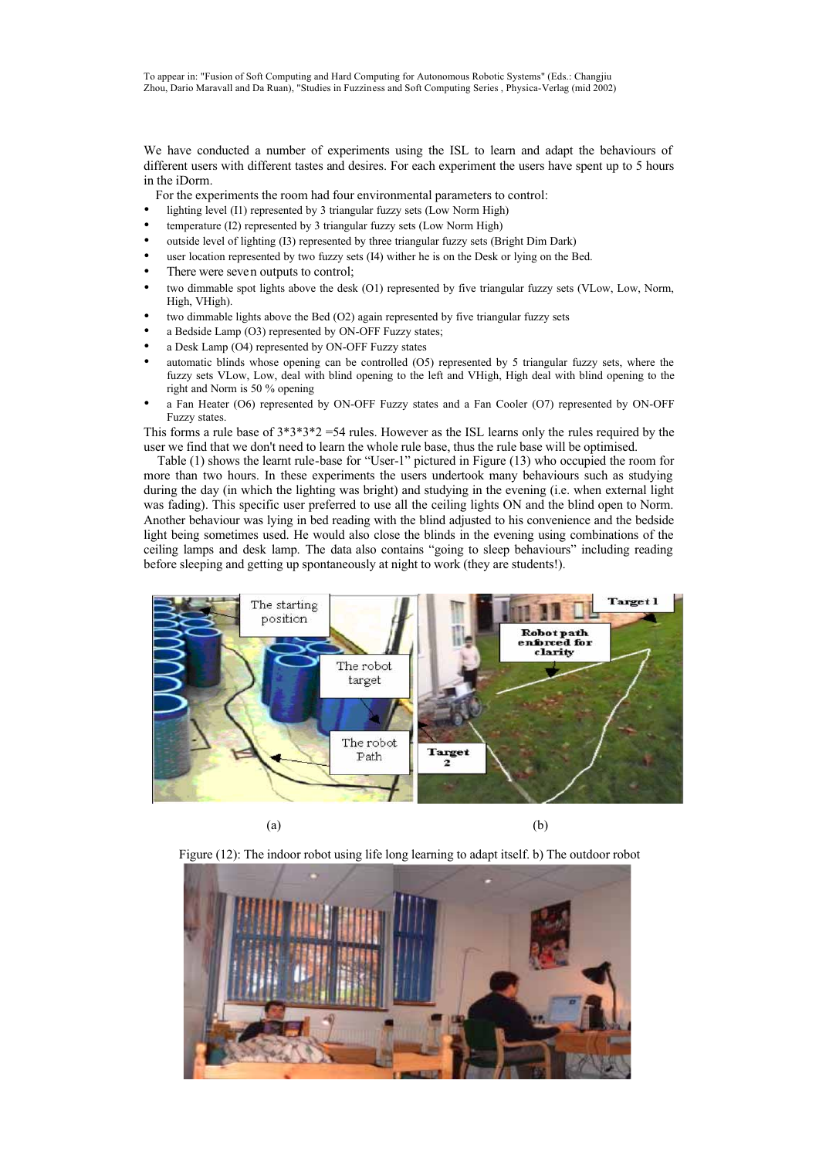We have conducted a number of experiments using the ISL to learn and adapt the behaviours of different users with different tastes and desires. For each experiment the users have spent up to 5 hours in the iDorm.

For the experiments the room had four environmental parameters to control:

- lighting level (I1) represented by 3 triangular fuzzy sets (Low Norm High)
- temperature (I2) represented by 3 triangular fuzzy sets (Low Norm High)
- outside level of lighting (I3) represented by three triangular fuzzy sets (Bright Dim Dark)
- user location represented by two fuzzy sets (I4) wither he is on the Desk or lying on the Bed.
- There were seven outputs to control;
- two dimmable spot lights above the desk (O1) represented by five triangular fuzzy sets (VLow, Low, Norm, High, VHigh).
- two dimmable lights above the Bed (O2) again represented by five triangular fuzzy sets
- a Bedside Lamp (O3) represented by ON-OFF Fuzzy states;
- a Desk Lamp (O4) represented by ON-OFF Fuzzy states
- automatic blinds whose opening can be controlled (O5) represented by 5 triangular fuzzy sets, where the fuzzy sets VLow, Low, deal with blind opening to the left and VHigh, High deal with blind opening to the right and Norm is 50 % opening
- a Fan Heater (O6) represented by ON-OFF Fuzzy states and a Fan Cooler (O7) represented by ON-OFF Fuzzy states.

This forms a rule base of  $3*3*3=54$  rules. However as the ISL learns only the rules required by the user we find that we don't need to learn the whole rule base, thus the rule base will be optimised.

 Table (1) shows the learnt rule-base for "User-1" pictured in Figure (13) who occupied the room for more than two hours. In these experiments the users undertook many behaviours such as studying during the day (in which the lighting was bright) and studying in the evening (i.e. when external light was fading). This specific user preferred to use all the ceiling lights ON and the blind open to Norm. Another behaviour was lying in bed reading with the blind adjusted to his convenience and the bedside light being sometimes used. He would also close the blinds in the evening using combinations of the ceiling lamps and desk lamp. The data also contains "going to sleep behaviours" including reading before sleeping and getting up spontaneously at night to work (they are students!).



 $(a)$  (b)



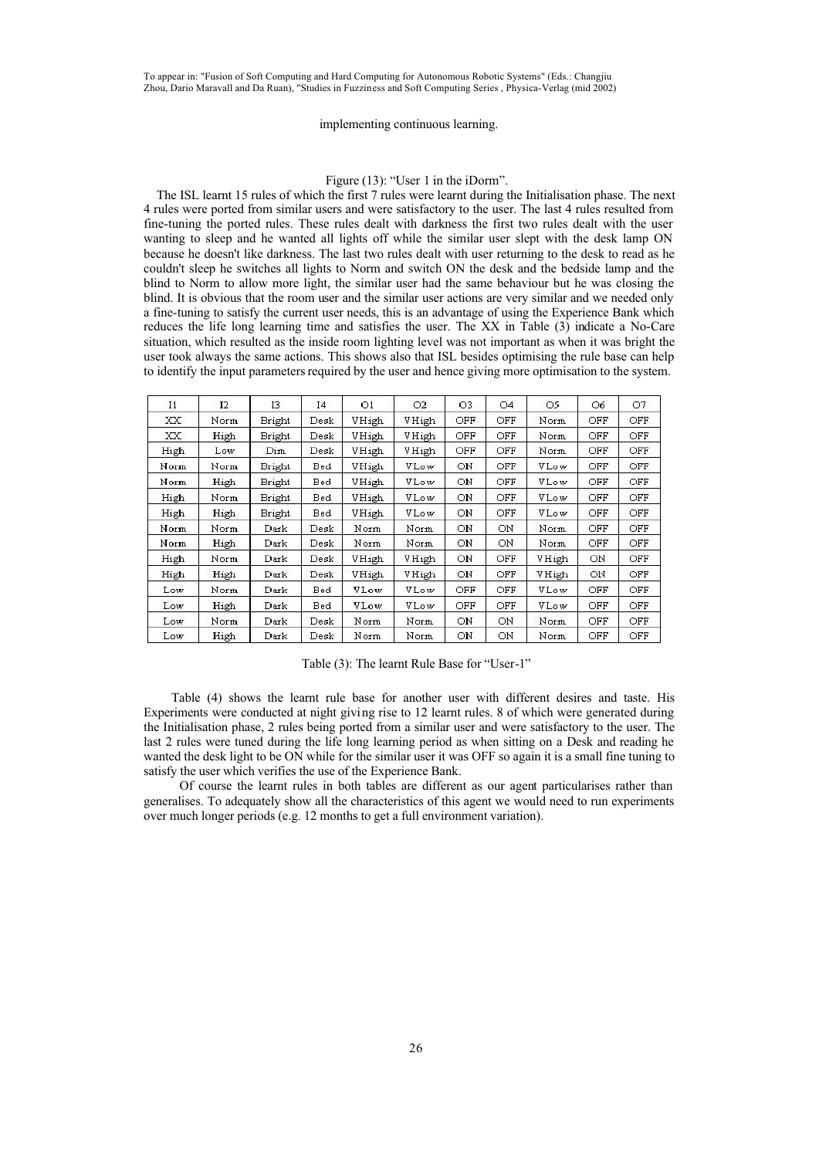#### implementing continuous learning.

#### Figure (13): "User 1 in the iDorm".

 The ISL learnt 15 rules of which the first 7 rules were learnt during the Initialisation phase. The next 4 rules were ported from similar users and were satisfactory to the user. The last 4 rules resulted from fine-tuning the ported rules. These rules dealt with darkness the first two rules dealt with the user wanting to sleep and he wanted all lights off while the similar user slept with the desk lamp ON because he doesn't like darkness. The last two rules dealt with user returning to the desk to read as he couldn't sleep he switches all lights to Norm and switch ON the desk and the bedside lamp and the blind to Norm to allow more light, the similar user had the same behaviour but he was closing the blind. It is obvious that the room user and the similar user actions are very similar and we needed only a fine-tuning to satisfy the current user needs, this is an advantage of using the Experience Bank which reduces the life long learning time and satisfies the user. The XX in Table (3) indicate a No-Care situation, which resulted as the inside room lighting level was not important as when it was bright the user took always the same actions. This shows also that ISL besides optimising the rule base can help to identify the input parameters required by the user and hence giving more optimisation to the system.

| I1   | I2   | I3               | I4   | $_{\bigcirc 1}$ | O <sub>2</sub> | O <sub>3</sub> | O <sub>4</sub> | O <sub>5</sub> | O6  | O7  |
|------|------|------------------|------|-----------------|----------------|----------------|----------------|----------------|-----|-----|
| XX.  | Norm | Bright           | Desk | VHigh           | VHigh          | OFF            | OFF            | Norm           | OFF | OFF |
| XX   | High | Bright           | Desk | VHigh           | VHigh          | OFF            | OFF            | Norm           | OFF | OFF |
| High | Low  | Dim              | Desk | VHigh           | VHigh          | OFF            | OFF            | Norm           | OFF | OFF |
| Norm | Norm | Bright           | Bed  | VHigh           | VLow           | ΟN             | OFF            | VLow           | OFF | OFF |
| Norm | High | Bright           | Bed  | VHigh           | VLow           | OМ             | OFF            | VLow           | OFF | OFF |
| High | Norm | Bright           | Bed  | VHigh           | VLow           | ΟN             | OFF            | VLow           | OFF | OFF |
| High | High | Bright           | Bed  | VHigh           | VLow           | ΟN             | OFF            | VLow           | OFF | OFF |
| Norm | Norm | Dark             | Desk | Norm            | Norm           | ΟN             | ΟN             | Norm           | OFF | OFF |
| Norm | High | $_{\rm Dark}$    | Desk | Norm            | Norm           | ΟN             | ΟN             | Norm           | OFF | OFF |
| High | Norm | Dark             | Desk | VHigh           | VHigh          | ΟN             | OFF            | VHigh          | ON  | OFF |
| High | High | Dark             | Desk | VHigh           | VHigh          | ΟN             | OFF            | VHigh          | ΟN  | OFF |
| Low  | Norm | $_{\text{Dark}}$ | Bed  | VLow            | VLow           | OFF            | OFF            | VLow           | OFF | OFF |
| Low  | High | Dark             | Bed  | VLow            | VLow           | OFF            | OFF            | VLow           | OFF | OFF |
| Low  | Norm | Dark             | Desk | Norm            | Norm           | ON             | ΟN             | Norm           | OFF | OFF |
| Low  | High | $_{\rm Dark}$    | Desk | Norm            | Norm           | ON             | ΟN             | Norm           | OFF | OFF |

Table (3): The learnt Rule Base for "User-1"

 Table (4) shows the learnt rule base for another user with different desires and taste. His Experiments were conducted at night giving rise to 12 learnt rules. 8 of which were generated during the Initialisation phase, 2 rules being ported from a similar user and were satisfactory to the user. The last 2 rules were tuned during the life long learning period as when sitting on a Desk and reading he wanted the desk light to be ON while for the similar user it was OFF so again it is a small fine tuning to satisfy the user which verifies the use of the Experience Bank.

 Of course the learnt rules in both tables are different as our agent particularises rather than generalises. To adequately show all the characteristics of this agent we would need to run experiments over much longer periods (e.g. 12 months to get a full environment variation).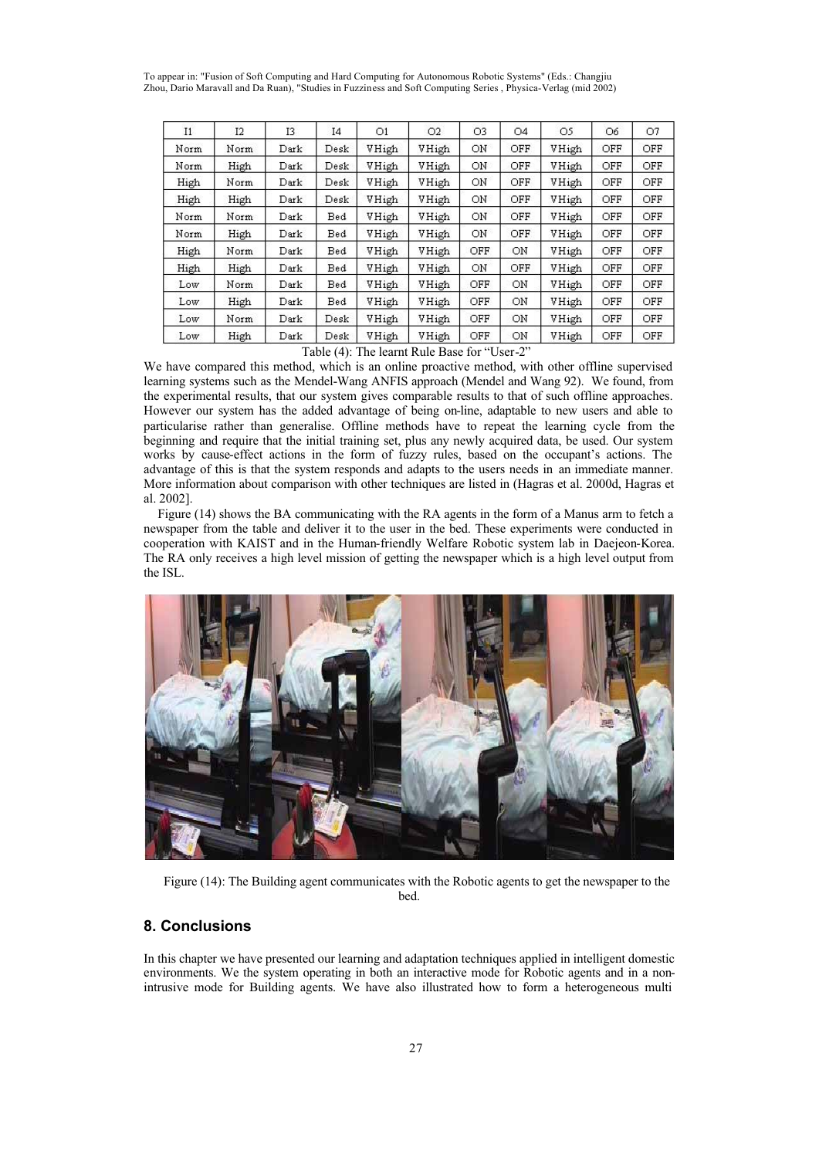| $_{\rm I1}$ | I2   | 13               | Ι4             | O1    | O2    | O3  | Ο4  | O5    | O6         | O7  |
|-------------|------|------------------|----------------|-------|-------|-----|-----|-------|------------|-----|
| Norm        | Norm | Dark             | $_{\rm{Desk}}$ | VHigh | VHigh | ΟN  | OFF | VHigh | <b>OFF</b> | OFF |
| Norm        | High | Dark             | Desk           | VHigh | VHigh | ΟN  | OFF | VHigh | OFF        | OFF |
| High        | Norm | $_{\rm Dark}$    | $_{\rm{Desk}}$ | VHigh | VHigh | ON  | OFF | VHigh | OFF        | OFF |
| High        | High | Dark             | Desk:          | VHigh | VHigh | ON  | OFF | VHigh | OFF        | OFF |
| Norm        | Norm | Dark             | Bed            | VHigh | VHigh | ΟN  | OFF | VHigh | OFF        | OFF |
| Norm        | High | Dark             | Bed            | VHigh | VHigh | ΟN  | OFF | VHigh | OFF        | OFF |
| High        | Norm | Dark             | Bed            | VHigh | VHigh | OFF | ON  | VHigh | OFF        | OFF |
| High        | High | Dark             | Bed            | VHigh | VHigh | ΟN  | OFF | VHigh | OFF        | OFF |
| Low         | Norm | $_{\rm Dark}$    | Bed            | VHigh | VHigh | OFF | ON  | VHigh | OFF        | OFF |
| Low         | High | Dark             | Bed            | VHigh | VHigh | OFF | ON  | VHigh | OFF        | OFF |
| Low         | Norm | Dark             | Desk           | VHigh | VHigh | OFF | ON  | VHigh | OFF        | OFF |
| Low         | High | $_{\text{Dark}}$ | Desk           | VHigh | VHigh | OFF | ON  | VHigh | OFF        | OFF |

Table (4): The learnt Rule Base for "User-2"

We have compared this method, which is an online proactive method, with other offline supervised learning systems such as the Mendel-Wang ANFIS approach (Mendel and Wang 92). We found, from the experimental results, that our system gives comparable results to that of such offline approaches. However our system has the added advantage of being on-line, adaptable to new users and able to particularise rather than generalise. Offline methods have to repeat the learning cycle from the beginning and require that the initial training set, plus any newly acquired data, be used. Our system works by cause-effect actions in the form of fuzzy rules, based on the occupant's actions. The advantage of this is that the system responds and adapts to the users needs in an immediate manner. More information about comparison with other techniques are listed in (Hagras et al. 2000d, Hagras et al. 2002].

 Figure (14) shows the BA communicating with the RA agents in the form of a Manus arm to fetch a newspaper from the table and deliver it to the user in the bed. These experiments were conducted in cooperation with KAIST and in the Human-friendly Welfare Robotic system lab in Daejeon-Korea. The RA only receives a high level mission of getting the newspaper which is a high level output from the ISL.



Figure (14): The Building agent communicates with the Robotic agents to get the newspaper to the bed.

# **8. Conclusions**

In this chapter we have presented our learning and adaptation techniques applied in intelligent domestic environments. We the system operating in both an interactive mode for Robotic agents and in a nonintrusive mode for Building agents. We have also illustrated how to form a heterogeneous multi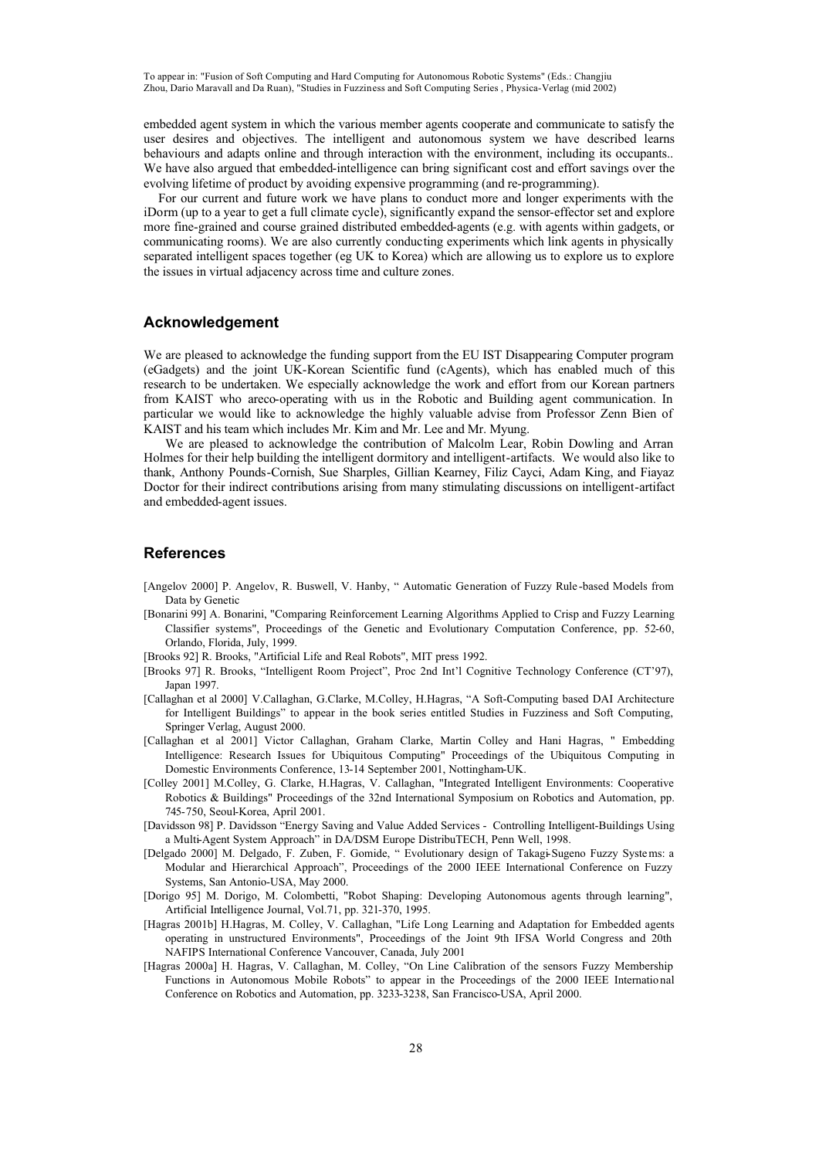embedded agent system in which the various member agents cooperate and communicate to satisfy the user desires and objectives. The intelligent and autonomous system we have described learns behaviours and adapts online and through interaction with the environment, including its occupants.. We have also argued that embedded-intelligence can bring significant cost and effort savings over the evolving lifetime of product by avoiding expensive programming (and re-programming).

For our current and future work we have plans to conduct more and longer experiments with the iDorm (up to a year to get a full climate cycle), significantly expand the sensor-effector set and explore more fine-grained and course grained distributed embedded-agents (e.g. with agents within gadgets, or communicating rooms). We are also currently conducting experiments which link agents in physically separated intelligent spaces together (eg UK to Korea) which are allowing us to explore us to explore the issues in virtual adjacency across time and culture zones.

### **Acknowledgement**

We are pleased to acknowledge the funding support from the EU IST Disappearing Computer program (eGadgets) and the joint UK-Korean Scientific fund (cAgents), which has enabled much of this research to be undertaken. We especially acknowledge the work and effort from our Korean partners from KAIST who areco-operating with us in the Robotic and Building agent communication. In particular we would like to acknowledge the highly valuable advise from Professor Zenn Bien of KAIST and his team which includes Mr. Kim and Mr. Lee and Mr. Myung.

 We are pleased to acknowledge the contribution of Malcolm Lear, Robin Dowling and Arran Holmes for their help building the intelligent dormitory and intelligent-artifacts. We would also like to thank, Anthony Pounds-Cornish, Sue Sharples, Gillian Kearney, Filiz Cayci, Adam King, and Fiayaz Doctor for their indirect contributions arising from many stimulating discussions on intelligent-artifact and embedded-agent issues.

### **References**

- [Angelov 2000] P. Angelov, R. Buswell, V. Hanby, " Automatic Generation of Fuzzy Rule -based Models from Data by Genetic
- [Bonarini 99] A. Bonarini, "Comparing Reinforcement Learning Algorithms Applied to Crisp and Fuzzy Learning Classifier systems", Proceedings of the Genetic and Evolutionary Computation Conference, pp. 52-60, Orlando, Florida, July, 1999.
- [Brooks 92] R. Brooks, "Artificial Life and Real Robots", MIT press 1992.
- [Brooks 97] R. Brooks, "Intelligent Room Project", Proc 2nd Int'l Cognitive Technology Conference (CT'97), Japan 1997.
- [Callaghan et al 2000] V.Callaghan, G.Clarke, M.Colley, H.Hagras, "A Soft-Computing based DAI Architecture for Intelligent Buildings" to appear in the book series entitled Studies in Fuzziness and Soft Computing, Springer Verlag, August 2000.
- [Callaghan et al 2001] Victor Callaghan, Graham Clarke, Martin Colley and Hani Hagras, " Embedding Intelligence: Research Issues for Ubiquitous Computing" Proceedings of the Ubiquitous Computing in Domestic Environments Conference, 13-14 September 2001, Nottingham-UK.
- [Colley 2001] M.Colley, G. Clarke, H.Hagras, V. Callaghan, "Integrated Intelligent Environments: Cooperative Robotics & Buildings" Proceedings of the 32nd International Symposium on Robotics and Automation, pp. 745-750, Seoul-Korea, April 2001.
- [Davidsson 98] P. Davidsson "Energy Saving and Value Added Services Controlling Intelligent-Buildings Using a Multi-Agent System Approach" in DA/DSM Europe DistribuTECH, Penn Well, 1998.
- [Delgado 2000] M. Delgado, F. Zuben, F. Gomide, " Evolutionary design of Takagi-Sugeno Fuzzy Systems: a Modular and Hierarchical Approach", Proceedings of the 2000 IEEE International Conference on Fuzzy Systems, San Antonio-USA, May 2000.
- [Dorigo 95] M. Dorigo, M. Colombetti, "Robot Shaping: Developing Autonomous agents through learning", Artificial Intelligence Journal, Vol.71, pp. 321-370, 1995.
- [Hagras 2001b] H.Hagras, M. Colley, V. Callaghan, "Life Long Learning and Adaptation for Embedded agents operating in unstructured Environments", Proceedings of the Joint 9th IFSA World Congress and 20th NAFIPS International Conference Vancouver, Canada, July 2001
- [Hagras 2000a] H. Hagras, V. Callaghan, M. Colley, "On Line Calibration of the sensors Fuzzy Membership Functions in Autonomous Mobile Robots" to appear in the Proceedings of the 2000 IEEE Internatio nal Conference on Robotics and Automation, pp. 3233-3238, San Francisco-USA, April 2000.